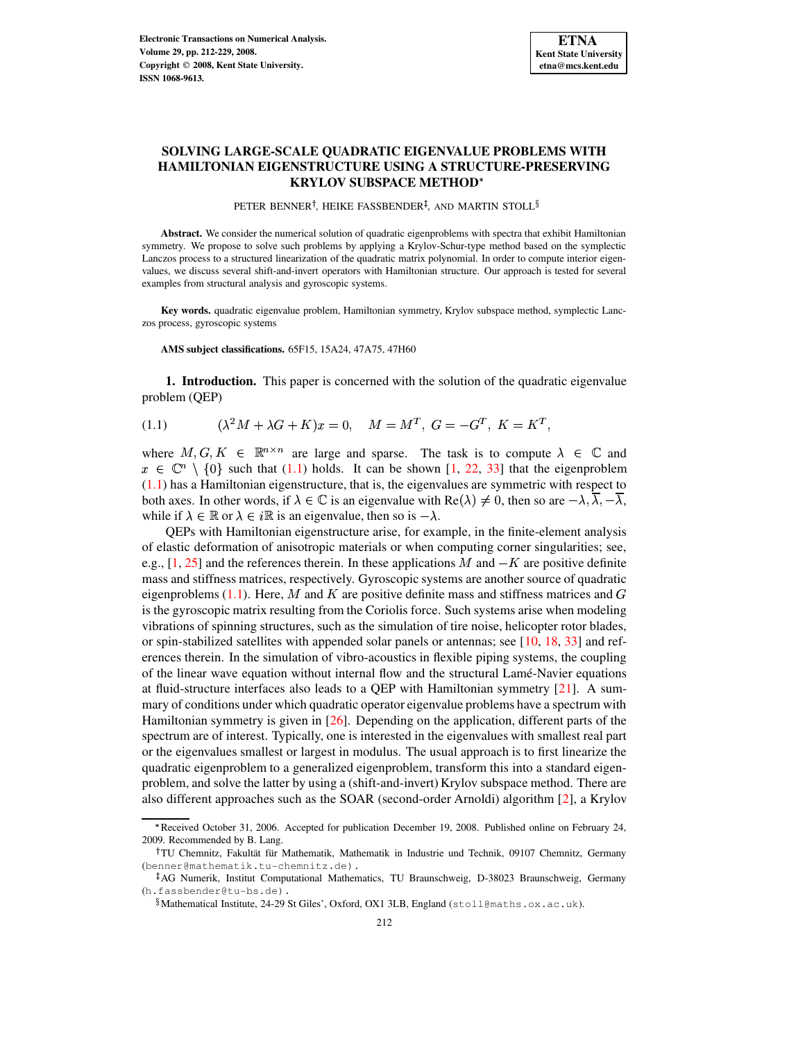# **SOLVING LARGE-SCALE QUADRATIC EIGENVALUE PROBLEMS WITH HAMILTONIAN EIGENSTRUCTURE USING A STRUCTURE-PRESERVING KRYLOV SUBSPACE METHOD**

PETER BENNER<sup>†</sup>, HEIKE FASSBENDER<sup>‡</sup>, AND MARTIN STOLL<sup>§</sup>

**Abstract.** We consider the numerical solution of quadratic eigenproblems with spectra that exhibit Hamiltonian symmetry. We propose to solve such problems by applying a Krylov-Schur-type method based on the symplectic Lanczos process to a structured linearization of the quadratic matrix polynomial. In order to compute interior eigenvalues, we discuss several shift-and-invert operators with Hamiltonian structure. Our approach is tested for several examples from structural analysis and gyroscopic systems.

**Key words.** quadratic eigenvalue problem, Hamiltonian symmetry, Krylov subspace method, symplectic Lanczos process, gyroscopic systems

**AMS subject classifications.** 65F15, 15A24, 47A75, 47H60

<span id="page-0-0"></span>**1. Introduction.** This paper is concerned with the solution of the quadratic eigenvalue problem (QEP)

(1.1) 
$$
(\lambda^2 M + \lambda G + K)x = 0, \quad M = M^T, G = -G^T, K = K^T,
$$

where  $M, G, K \in \mathbb{R}^{n \times n}$  are large and sparse. The task is to compute  $\lambda \in \mathbb{C}$  and  $x \in \mathbb{C}^n \setminus \{0\}$  such that [\(1.1\)](#page-0-0) holds. It can be shown [\[1,](#page-16-0) [22,](#page-17-0) [33\]](#page-17-1) that the eigenproblem [\(1.1\)](#page-0-0) has a Hamiltonian eigenstructure, that is, the eigenvalues are symmetric with respect to both axes. In other words, if  $\lambda \in \mathbb{C}$  is an eigenvalue with  $Re(\lambda) \neq 0$ , then so are  $-\lambda, \lambda, -\lambda$ , while if  $\lambda \in \mathbb{R}$  or  $\lambda \in i\mathbb{R}$  is an eigenvalue, then so is  $-\lambda$ .

QEPs with Hamiltonian eigenstructure arise, for example, in the finite-element analysis of elastic deformation of anisotropic materials or when computing corner singularities; see, e.g.,  $[1, 25]$  $[1, 25]$  $[1, 25]$  and the references therein. In these applications M and  $-K$  are positive definite mass and stiffness matrices, respectively. Gyroscopic systems are another source of quadratic eigenproblems [\(1.1\)](#page-0-0). Here, M and K are positive definite mass and stiffness matrices and G is the gyroscopic matrix resulting from the Coriolis force. Such systems arise when modeling vibrations of spinning structures, such as the simulation of tire noise, helicopter rotor blades, or spin-stabilized satellites with appended solar panels or antennas; see [\[10,](#page-16-1) [18,](#page-17-3) [33\]](#page-17-1) and references therein. In the simulation of vibro-acoustics in flexible piping systems, the coupling of the linear wave equation without internal flow and the structural Lamé-Navier equations at fluid-structure interfaces also leads to a QEP with Hamiltonian symmetry [\[21\]](#page-17-4). A summary of conditions under which quadratic operator eigenvalue problems have a spectrum with Hamiltonian symmetry is given in [\[26\]](#page-17-5). Depending on the application, different parts of the spectrum are of interest. Typically, one is interested in the eigenvalues with smallest real part or the eigenvalues smallest or largest in modulus. The usual approach is to first linearize the quadratic eigenproblem to a generalized eigenproblem, transform this into a standard eigenproblem, and solve the latter by using a (shift-and-invert) Krylov subspace method. There are also different approaches such as the SOAR (second-order Arnoldi) algorithm [\[2\]](#page-16-2), a Krylov

<sup>F</sup> Received October 31, 2006. Accepted for publication December 19, 2008. Published online on February 24, 2009. Recommended by B. Lang.

<sup>&</sup>lt;sup>†</sup>TU Chemnitz, Fakultät für Mathematik, Mathematik in Industrie und Technik, 09107 Chemnitz, Germany (benner@mathematik.tu-chemnitz.de).

<sup>-</sup> AG Numerik, Institut Computational Mathematics, TU Braunschweig, D-38023 Braunschweig, Germany (h.fassbender@tu-bs.de).

 $\sqrt[8]{8}$ Mathematical Institute, 24-29 St Giles', Oxford, OX1 3LB, England (stoll@maths.ox.ac.uk).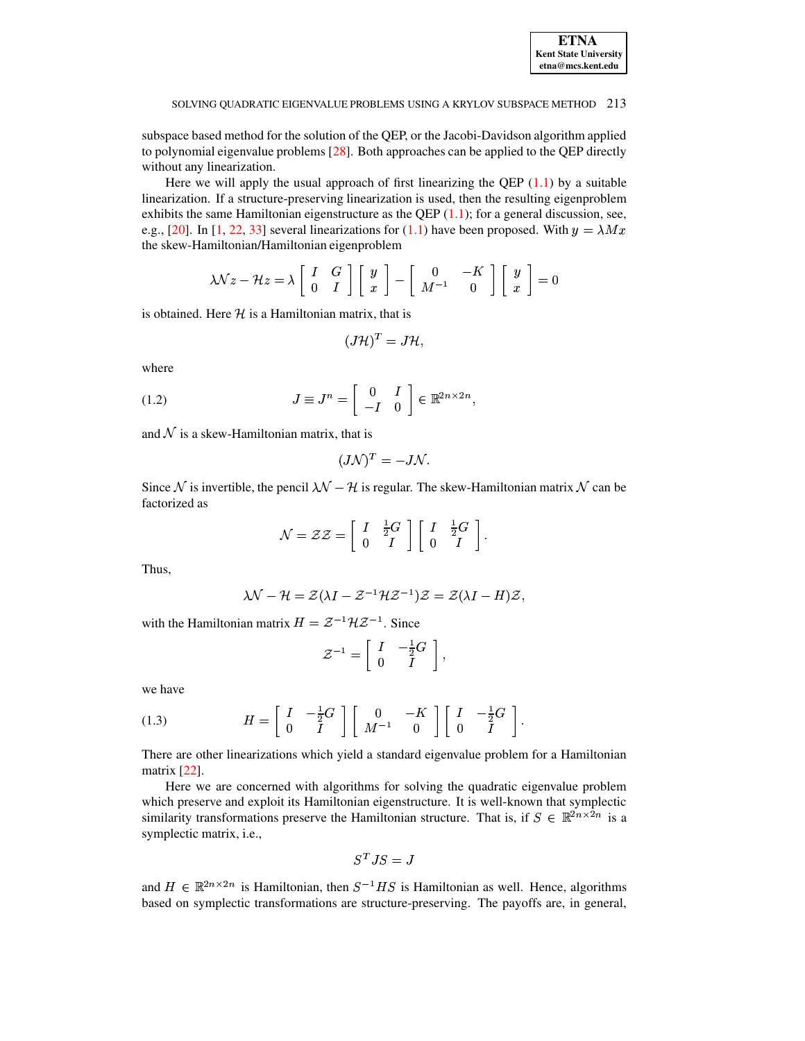| <b>ETNA</b>                  |
|------------------------------|
| <b>Kent State University</b> |
| etna@mcs.kent.edu            |

subspace based method for the solution of the QEP, or the Jacobi-Davidson algorithm applied to polynomial eigenvalue problems [\[28\]](#page-17-6). Both approaches can be applied to the QEP directly without any linearization.

Here we will apply the usual approach of first linearizing the QEP  $(1.1)$  by a suitable linearization. If a structure-preserving linearization is used, then the resulting eigenproblem exhibits the same Hamiltonian eigenstructure as the QEP  $(1.1)$ ; for a general discussion, see, e.g., [\[20\]](#page-17-7). In [\[1,](#page-16-0) [22,](#page-17-0) [33\]](#page-17-1) several linearizations for [\(1.1\)](#page-0-0) have been proposed. With  $y = \lambda Mx$ the skew-Hamiltonian/Hamiltonian eigenproblem

$$
\lambda \mathcal{N} z - \mathcal{H} z = \lambda \left[ \begin{array}{cc} I & G \\ 0 & I \end{array} \right] \left[ \begin{array}{c} y \\ x \end{array} \right] - \left[ \begin{array}{cc} 0 & -K \\ M^{-1} & 0 \end{array} \right] \left[ \begin{array}{c} y \\ x \end{array} \right] = 0
$$

is obtained. Here  $\mathcal H$  is a Hamiltonian matrix, that is

$$
(J\mathcal{H})^T = J\mathcal{H},
$$

<span id="page-1-0"></span>where

(1.2) 
$$
J \equiv J^n = \begin{bmatrix} 0 & I \\ -I & 0 \end{bmatrix} \in \mathbb{R}^{2n \times 2n},
$$

and  $N$  is a skew-Hamiltonian matrix, that is

$$
(J\mathcal{N})^T=-J\mathcal{N}.
$$

Since N is invertible, the pencil  $\mathcal{N} - \mathcal{H}$  is regular. The skew-Hamiltonian matrix N can be factorized as

$$
\mathcal{N} = \mathcal{Z}\mathcal{Z} = \left[ \begin{array}{cc} I & \frac{1}{2}G \\ 0 & I \end{array} \right] \left[ \begin{array}{cc} I & \frac{1}{2}G \\ 0 & I \end{array} \right].
$$

Thus,

$$
\lambda \mathcal{N} - \mathcal{H} = \mathcal{Z}(\lambda I - \mathcal{Z}^{-1} \mathcal{H} \mathcal{Z}^{-1}) \mathcal{Z} = \mathcal{Z}(\lambda I - H) \mathcal{Z},
$$

with the Hamiltonian matrix  $H = \mathcal{Z}^{-1} \mathcal{H} \mathcal{Z}^{-1}$ . Since

$$
\mathcal{Z}^{-1} = \left[ \begin{array}{cc} I & -\frac{1}{2} G \\ 0 & I \end{array} \right],
$$

<span id="page-1-1"></span>we have

(1.3) 
$$
H = \left[ \begin{array}{cc} I & -\frac{1}{2}G \\ 0 & I \end{array} \right] \left[ \begin{array}{cc} 0 & -K \\ M^{-1} & 0 \end{array} \right] \left[ \begin{array}{cc} I & -\frac{1}{2}G \\ 0 & I \end{array} \right].
$$

There are other linearizations which yield a standard eigenvalue problem for a Hamiltonian matrix [\[22\]](#page-17-0).

Here we are concerned with algorithms for solving the quadratic eigenvalue problem which preserve and exploit its Hamiltonian eigenstructure. It is well-known that symplectic similarity transformations preserve the Hamiltonian structure. That is, if  $S \in \mathbb{R}^{2n \times 2n}$  is a symplectic matrix, i.e.,

$$
S^TJS=J
$$

and  $H \in \mathbb{R}^{2n \times 2n}$  is Hamiltonian, then  $S^{-1}HS$  is Hamiltonian as well. Hence, algorithms based on symplectic transformations are structure-preserving. The payoffs are, in general,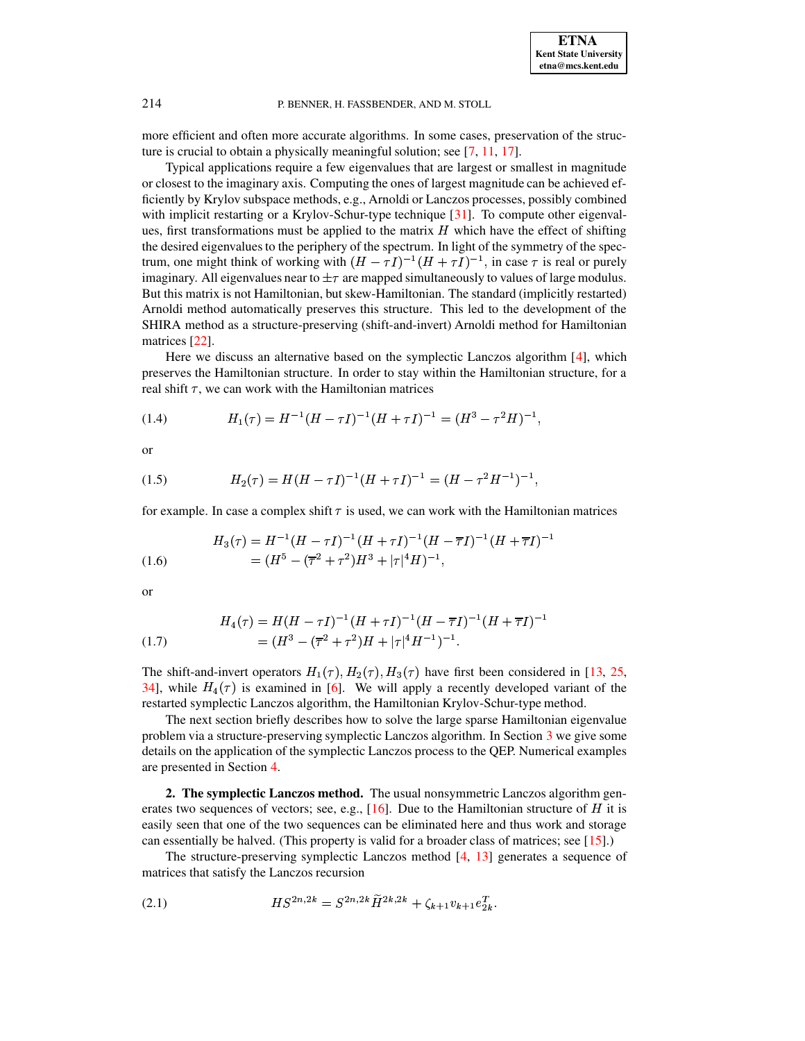

more efficient and often more accurate algorithms. In some cases, preservation of the structure is crucial to obtain a physically meaningful solution; see [\[7,](#page-16-3) [11,](#page-16-4) [17\]](#page-17-8).

Typical applications require a few eigenvalues that are largest or smallest in magnitude or closest to the imaginary axis. Computing the ones of largest magnitude can be achieved efficiently by Krylov subspace methods, e.g., Arnoldi or Lanczos processes, possibly combined with implicit restarting or a Krylov-Schur-type technique [\[31\]](#page-17-9). To compute other eigenvalues, first transformations must be applied to the matrix  $H$  which have the effect of shifting the desired eigenvalues to the periphery of the spectrum. In light of the symmetry of the spectrum, one might think of working with  $(H - \tau I)^{-1}(H + \tau I)^{-1}$ , in case  $\tau$  is real or purely imaginary. All eigenvalues near to  $\pm \tau$  are mapped simultaneously to values of large modulus. But this matrix is not Hamiltonian, but skew-Hamiltonian. The standard (implicitly restarted) Arnoldi method automatically preserves this structure. This led to the development of the SHIRA method as a structure-preserving (shift-and-invert) Arnoldi method for Hamiltonian matrices [\[22\]](#page-17-0).

Here we discuss an alternative based on the symplectic Lanczos algorithm  $[4]$ , which preserves the Hamiltonian structure. In order to stay within the Hamiltonian structure, for a real shift  $\tau$ , we can work with the Hamiltonian matrices

<span id="page-2-1"></span>(1.4) 
$$
H_1(\tau) = H^{-1}(H - \tau I)^{-1}(H + \tau I)^{-1} = (H^3 - \tau^2 H)^{-1},
$$

<span id="page-2-2"></span>or

(1.5) 
$$
H_2(\tau) = H(H - \tau I)^{-1} (H + \tau I)^{-1} = (H - \tau^2 H^{-1})^{-1},
$$

for example. In case a complex shift  $\tau$  is used, we can work with the Hamiltonian matrices

<span id="page-2-3"></span>(1.6) 
$$
H_3(\tau) = H^{-1} (H - \tau I)^{-1} (H + \tau I)^{-1} (H - \overline{\tau} I)^{-1} (H + \overline{\tau} I)^{-1}
$$

$$
= (H^5 - (\overline{\tau}^2 + \tau^2) H^3 + |\tau|^4 H)^{-1},
$$

or

<span id="page-2-4"></span>(1.7) 
$$
H_4(\tau) = H(H - \tau I)^{-1} (H + \tau I)^{-1} (H - \overline{\tau}I)^{-1} (H + \overline{\tau}I)^{-1}
$$

$$
= (H^3 - (\overline{\tau}^2 + \tau^2) H + |\tau|^4 H^{-1})^{-1}.
$$

The shift-and-invert operators  $H_1(\tau), H_2(\tau), H_3(\tau)$  have first been considered in [\[13,](#page-17-10) [25,](#page-17-2) [34\]](#page-17-11), while  $H_4(\tau)$  is examined in [\[6\]](#page-16-6). We will apply a recently developed variant of the restarted symplectic Lanczos algorithm, the Hamiltonian Krylov-Schur-type method.

The next section briefly describes how to solve the large sparse Hamiltonian eigenvalue problem via a structure-preserving symplectic Lanczos algorithm. In Section [3](#page-9-0) we give some details on the application of the symplectic Lanczos process to the QEP. Numerical examples are presented in Section [4.](#page-10-0)

**2. The symplectic Lanczos method.** The usual nonsymmetric Lanczos algorithm generates two sequences of vectors; see, e.g.,  $[16]$ . Due to the Hamiltonian structure of H it is easily seen that one of the two sequences can be eliminated here and thus work and storage can essentially be halved. (This property is valid for a broader class of matrices; see [\[15\]](#page-17-13).)

<span id="page-2-0"></span>The structure-preserving symplectic Lanczos method [\[4,](#page-16-5) [13\]](#page-17-10) generates a sequence of matrices that satisfy the Lanczos recursion

(2.1) 
$$
HS^{2n,2k} = S^{2n,2k} \widetilde{H}^{2k,2k} + \zeta_{k+1} v_{k+1} e_{2k}^T.
$$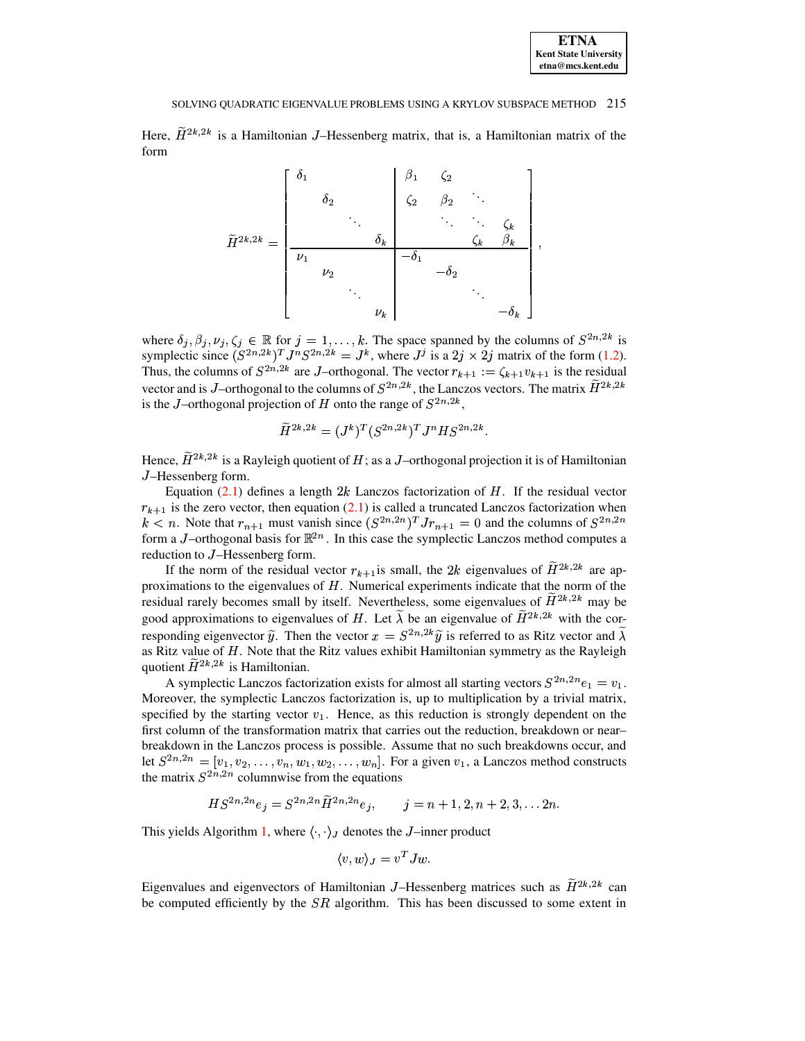| <b>ETNA</b>                  |
|------------------------------|
| <b>Kent State University</b> |
| etna@mcs.kent.edu            |

Here,  $H^{2k,2k}$  is a Hamiltonian J–Hessenberg matrix, that is, a Hamiltonian matrix of the form

$$
\widetilde{H}^{2k,2k} = \begin{bmatrix} \delta_1 & & & \beta_1 & \zeta_2 & & \\ & \delta_2 & & \zeta_2 & \beta_2 & \ddots & \\ & & \ddots & \ddots & \ddots & \zeta_k & \\ & & & \delta_k & & \zeta_k & \beta_k & \\ & & & \nu_2 & & -\delta_1 & & \\ & & & & \ddots & \ddots & \\ & & & & & \nu_k & & & -\delta_k \end{bmatrix},
$$

where  $\delta_j, \beta_j, \nu_j, \zeta_j \in \mathbb{R}$  for  $j = 1, \ldots, k$ . The space spanned by the columns of  $S^{2n,2k}$  is symplectic since  $(S^{2n,2k})^T J^n S^{2n,2k} = J^k$ , where  $J^j$  is a  $2j \times 2j$  matrix of the form [\(1.2\)](#page-1-0). Thus, the columns of  $S^{2n,2k}$  are J-orthogonal. The vector  $r_{k+1} := \zeta_{k+1} v_{k+1}$  is the residual vector and is *J*-orthogonal to the columns of  $S^{2n,2k}$ , the Lanczos vectors. The matrix  $H^{2k,2k}$ is the J–orthogonal projection of H onto the range of  $S^{2n,2k}$ ,

$$
\widetilde{H}^{2k,2k} = (J^k)^T (S^{2n,2k})^T J^n H S^{2n,2k}.
$$

Hence,  $H^{2k,2k}$  is a Rayleigh quotient of H; as a J–orthogonal projection it is of Hamiltonian <sup>X</sup> –Hessenberg form.

Equation  $(2.1)$  defines a length  $2k$  Lanczos factorization of H. If the residual vector  $r_{k+1}$  is the zero vector, then equation [\(2.1\)](#page-2-0) is called a truncated Lanczos factorization when  $k < n$ . Note that  $r_{n+1}$  must vanish since  $(S^{2n,2n})^T J r_{n+1} = 0$  and the columns of  $S^{2n,2n}$ form a *J*-orthogonal basis for  $\mathbb{R}^{2n}$ . In this case the symplectic Lanczos method computes a reduction to J-Hessenberg form.

If the norm of the residual vector  $r_{k+1}$  is small, the 2k eigenvalues of  $H^{2k,2k}$  are approximations to the eigenvalues of  $H$ . Numerical experiments indicate that the norm of the residual rarely becomes small by itself. Nevertheless, some eigenvalues of  $H^{2k,2k}$  may be good approximations to eigenvalues of H. Let  $\lambda$  be an eigenvalue of  $H^{2k,2k}$  with the corresponding eigenvector  $\tilde{y}$ . Then the vector  $x = S^{2n,2k}\tilde{y}$  is referred to as Ritz vector and  $\lambda$ as Ritz value of  $H$ . Note that the Ritz values exhibit Hamiltonian symmetry as the Rayleigh quotient  $H^{2k,2k}$  is Hamiltonian.

A symplectic Lanczos factorization exists for almost all starting vectors  $S^{2n,2n}e_1 = v_1$ . Moreover, the symplectic Lanczos factorization is, up to multiplication by a trivial matrix, specified by the starting vector  $v_1$ . Hence, as this reduction is strongly dependent on the first column of the transformation matrix that carries out the reduction, breakdown or near– breakdown in the Lanczos process is possible. Assume that no such breakdowns occur, and let  $S^{2n,2n} = [v_1, v_2, \dots, v_n, w_1, w_2, \dots, w_n]$ . For a given  $v_1$ , a Lanczos method constructs the matrix  $S^{2n,2n}$  columnwise from the equations

$$
HS^{2n,2n}e_j = S^{2n,2n}H^{2n,2n}e_j, \qquad j = n+1,2,n+2,3,\ldots 2n.
$$

This yields Algorithm [1,](#page-4-0) where  $\langle \cdot, \cdot \rangle_J$  denotes the J-inner product

$$
\langle v, w \rangle_J = v^T J w.
$$

Eigenvalues and eigenvectors of Hamiltonian J–Hessenberg matrices such as  $H^{2k,2k}$  can be computed efficiently by the  $SR$  algorithm. This has been discussed to some extent in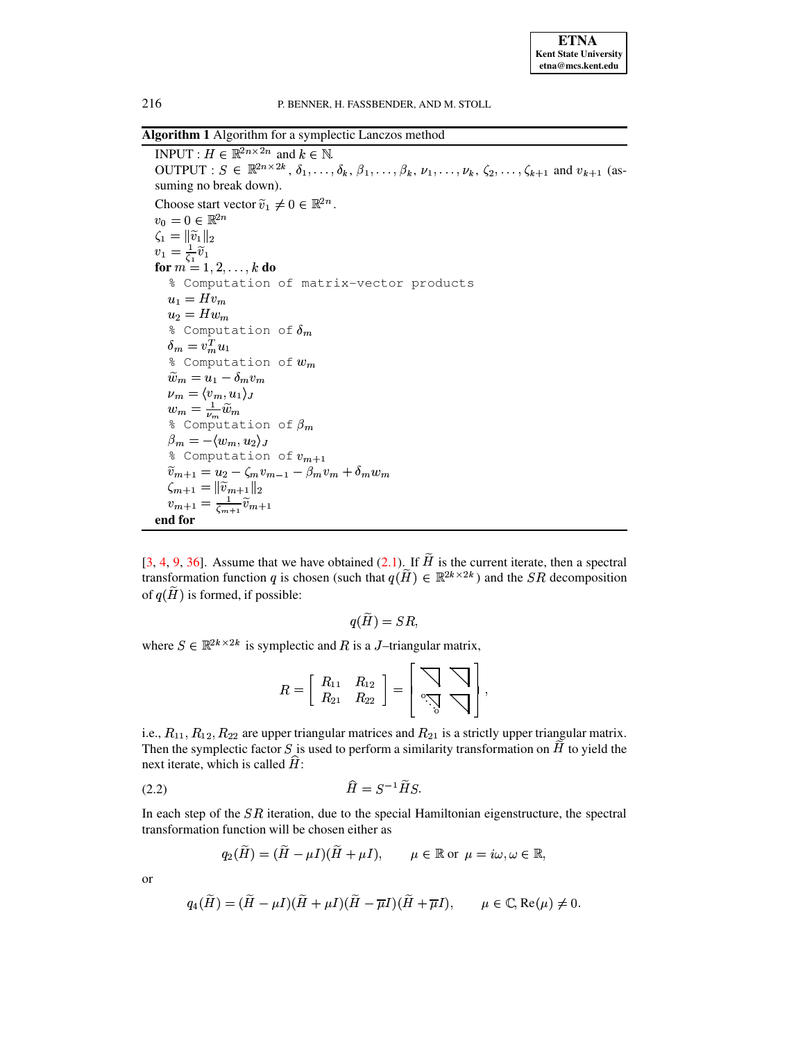**ETNA Kent State University**  $etna@mcs. kent.edu$ 

216

## P. BENNER, H. FASSBENDER, AND M. STOLL

<span id="page-4-0"></span>Algorithm 1 Algorithm for a symplectic Lanczos method

INPUT :  $H \in \mathbb{R}^{2n \times 2n}$  and  $k \in \mathbb{N}$ . OUTPUT :  $S \in \mathbb{R}^{2n \times 2k}$ ,  $\delta_1, \ldots, \delta_k, \beta_1, \ldots, \beta_k, \nu_1, \ldots, \nu_k, \zeta_2, \ldots, \zeta_{k+1}$  and  $v_{k+1}$  (assuming no break down). Choose start vector  $\tilde{v}_1 \neq 0 \in \mathbb{R}^{2n}$ .  $v_0 = 0 \in \mathbb{R}^{2n}$  $\zeta_1 = \|\widetilde{v}_1\|_2$  $v_1 = \frac{1}{\zeta_1} \widetilde{v}_1$ for  $m = 1, 2, ..., k$  do % Computation of matrix-vector products  $u_1 = Hv_m$  $u_2 = Hw_m$ % Computation of  $\delta_m$  $\delta_m = v_m^T u_1$ % Computation of  $w_m$  $\widetilde{w}_m = u_1 - \delta_m v_m$  $\begin{array}{l} \nu_m = \langle v_m, u_1 \rangle_J \\ w_m = \frac{1}{\nu_m} \widetilde{w}_m \\ \frac{2}{\nu_m} \text{ Computation of } \beta_m \end{array}$  $\beta_m = -\langle w_m, u_2 \rangle_J$ % Computation of  $v_{m+1}$  $\widetilde{v}_{m+1} = u_2 - \zeta_m v_{m-1} - \beta_m v_m + \delta_m w_m$  $\zeta_{m+1} = ||\widetilde{v}_{m+1}||_2$  $v_{m+1} = \frac{1}{\zeta_{m+1}} \widetilde{v}_{m+1}$ end for

[3, 4, 9, 36]. Assume that we have obtained (2.1). If  $\tilde{H}$  is the current iterate, then a spectral transformation function q is chosen (such that  $q(\tilde{H}) \in \mathbb{R}^{2k \times 2k}$ ) and the SR decomposition of  $q(H)$  is formed, if possible:

$$
q(H) = SR
$$

where  $S \in \mathbb{R}^{2k \times 2k}$  is symplectic and R is a J-triangular matrix,

$$
R=\left[\begin{array}{cc} R_{11} & R_{12} \\ R_{21} & R_{22} \end{array}\right]=\left[\begin{array}{c} \bigvee_{0} \bigvee_{\cdot} \\ \bigvee_{0} \bigvee_{0} \end{array}\right],
$$

i.e.,  $R_{11}, R_{12}, R_{22}$  are upper triangular matrices and  $R_{21}$  is a strictly upper triangular matrix. Then the symplectic factor  $S$  is used to perform a similarity transformation on  $H$  to yield the next iterate, which is called  $H$ :

<span id="page-4-1"></span>
$$
(2.2)\qquad \qquad H = S^{-1}HS.
$$

In each step of the  $SR$  iteration, due to the special Hamiltonian eigenstructure, the spectral transformation function will be chosen either as

$$
q_2(H) = (H - \mu I)(H + \mu I), \qquad \mu \in \mathbb{R} \text{ or } \mu = i\omega, \omega \in \mathbb{R}
$$

**or** 

$$
q_4(\widetilde{H}) = (\widetilde{H} - \mu I)(\widetilde{H} + \mu I)(\widetilde{H} - \overline{\mu}I)(\widetilde{H} + \overline{\mu}I), \qquad \mu \in \mathbb{C}, \text{Re}(\mu) \neq 0.
$$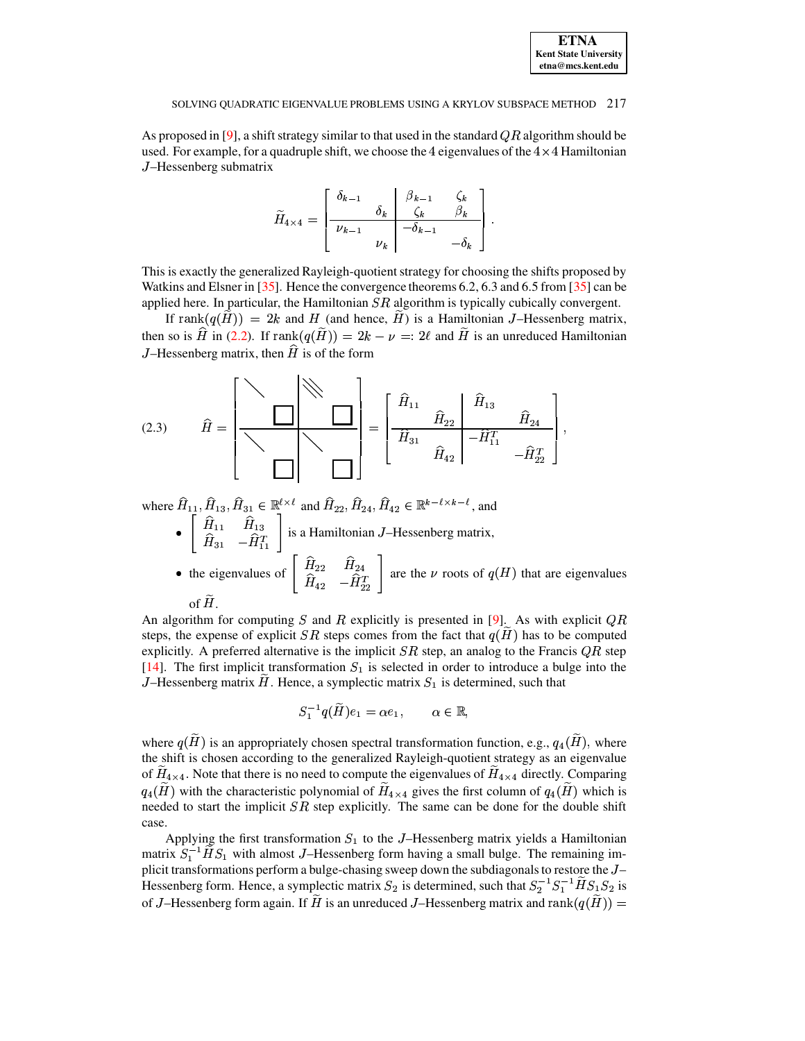As proposed in [9], a shift strategy similar to that used in the standard  $QR$  algorithm should be used. For example, for a quadruple shift, we choose the 4 eigenvalues of the  $4 \times 4$  Hamiltonian J-Hessenberg submatrix

$$
\widetilde{H}_{4\times 4} = \begin{bmatrix}\n\delta_{k-1} & \beta_{k-1} & \zeta_k \\
\frac{\delta_k}{\nu_{k-1}} & \frac{\zeta_k}{\nu_k} & \frac{\beta_k}{\lambda_{k-1}} \\
\frac{\zeta_k}{\nu_k} & -\delta_{k-1} & -\delta_k\n\end{bmatrix}.
$$

This is exactly the generalized Rayleigh-quotient strategy for choosing the shifts proposed by Watkins and Elsner in [35]. Hence the convergence theorems 6.2, 6.3 and 6.5 from [35] can be applied here. In particular, the Hamiltonian  $SR$  algorithm is typically cubically convergent.

If rank $(q(\tilde{H})) = 2k$  and H (and hence,  $\tilde{H}$ ) is a Hamiltonian J-Hessenberg matrix, then so is  $\hat{H}$  in (2.2). If  $\text{rank}(q(\tilde{H})) = 2k - \nu =: 2\ell$  and  $\tilde{H}$  is an unreduced Hamiltonian J-Hessenberg matrix, then  $\hat{H}$  is of the form

(2.3) 
$$
\hat{H} = \left[\begin{array}{c|c}\n\diagdown \\
\diagdown \\
\diagdown \\
\diagdown \\
\diagdown\n\end{array}\right] = \left[\begin{array}{cc|c}\n\widehat{H}_{11} & \hat{H}_{22} & \hat{H}_{13} & \hat{H}_{24} \\
\hline\n\widehat{H}_{31} & \hat{H}_{42} & -\widehat{H}_{11}^T & -\widehat{H}_{22}^T\n\end{array}\right]
$$

where  $\widehat H_{11},\widehat H_{13},\widehat H_{31}\in\mathbb R^{\ell\times\ell}$  and  $\widehat H_{22},\widehat H_{24},\widehat H_{42}\in\mathbb R^{k-\ell\times k-\ell}$  , and •  $\begin{bmatrix} \hat{H}_{11} & \hat{H}_{13} \\ \hat{H}_{31} & -\hat{H}_{11}^T \end{bmatrix}$  is a Hamiltonian *J*-Hessenberg matrix,<br>
• the eigenvalues of  $\begin{bmatrix} \hat{H}_{22} & \hat{H}_{24} \\ \hat{H}_{42} & -\hat{H}_{22}^T \end{bmatrix}$  are the  $\nu$  roots of  $q(H)$  that are eigenvalues

An algorithm for computing S and R explicitly is presented in [9]. As with explicit  $QR$ steps, the expense of explicit SR steps comes from the fact that  $q(H)$  has to be computed explicitly. A preferred alternative is the implicit  $SR$  step, an analog to the Francis  $QR$  step [14]. The first implicit transformation  $S_1$  is selected in order to introduce a bulge into the J-Hessenberg matrix H. Hence, a symplectic matrix  $S_1$  is determined, such that

$$
S_1^{-1}q(\widetilde H)e_1=\alpha e_1,\qquad \alpha\in\mathbb{R},
$$

where  $q(\tilde{H})$  is an appropriately chosen spectral transformation function, e.g.,  $q_4(\tilde{H})$ , where the shift is chosen according to the generalized Rayleigh-quotient strategy as an eigenvalue of  $H_{4\times4}$ . Note that there is no need to compute the eigenvalues of  $H_{4\times4}$  directly. Comparing  $q_4(\tilde{H})$  with the characteristic polynomial of  $\tilde{H}_{4\times 4}$  gives the first column of  $q_4(\tilde{H})$  which is needed to start the implicit  $SR$  step explicitly. The same can be done for the double shift case.

Applying the first transformation  $S_1$  to the J-Hessenberg matrix yields a Hamiltonian matrix  $S_1^{-1}HS_1$  with almost J-Hessenberg form having a small bulge. The remaining implicit transformations perform a bulge-chasing sweep down the subdiagonals to restore the J-Hessenberg form. Hence, a symplectic matrix  $S_2$  is determined, such that  $S_2^{-1}S_1^{-1}HS_1S_2$  is of J-Hessenberg form again. If  $\tilde{H}$  is an unreduced J-Hessenberg matrix and rank $(q(\tilde{H}))$  =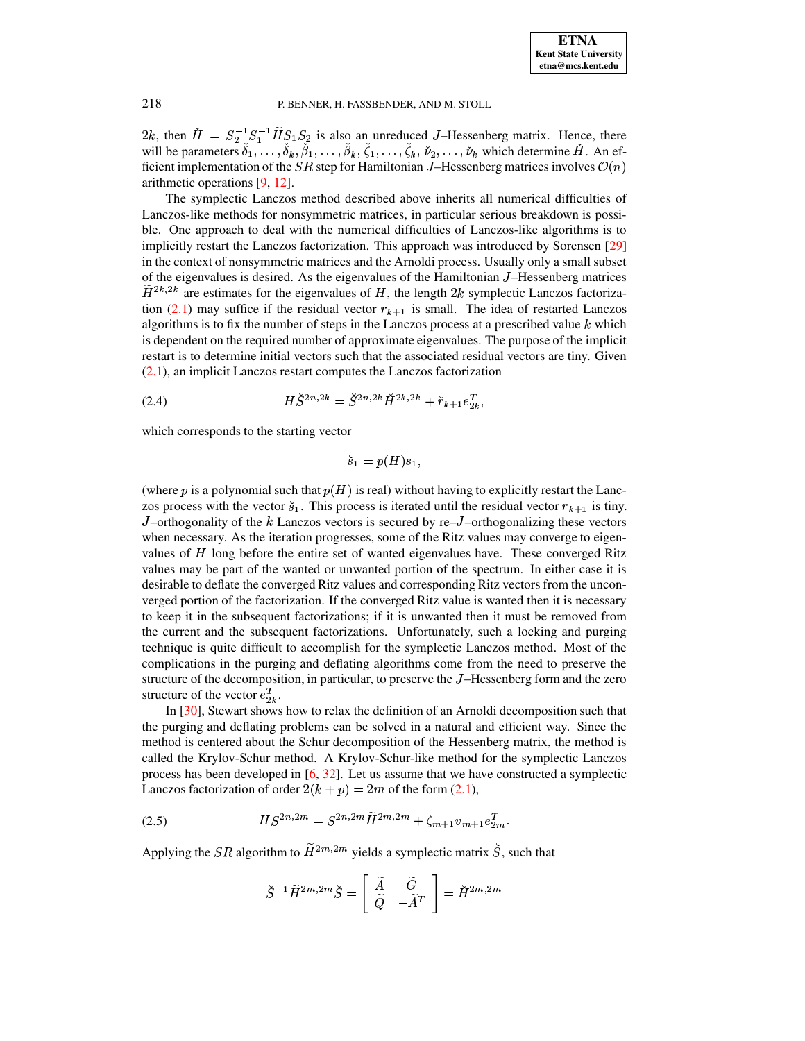2k, then  $\dot{H} = S_2^{-1} S_1^{-1} H S_1 S_2$  is also an unreduced J–Hessenberg matrix. Hence, there will be parameters  $\check{\delta}_1,\ldots,\check{\delta}_k,\check{\beta}_1,\ldots,\check{\beta}_k,\check{\zeta}_1,\ldots,\check{\zeta}_k,\check{\nu}_2,\ldots,\check{\nu}_k$  which determine  $\check{H}$ . An efficient implementation of the  $SR$  step for Hamiltonian J-Hessenberg matrices involves  $\mathcal{O}(n)$ arithmetic operations  $[9, 12]$ .

The symplectic Lanczos method described above inherits all numerical difficulties of Lanczos-like methods for nonsymmetric matrices, in particular serious breakdown is possible. One approach to deal with the numerical difficulties of Lanczos-like algorithms is to implicitly restart the Lanczos factorization. This approach was introduced by Sorensen [29] in the context of nonsymmetric matrices and the Arnoldi process. Usually only a small subset of the eigenvalues is desired. As the eigenvalues of the Hamiltonian J-Hessenberg matrices  $H^{2k,2k}$  are estimates for the eigenvalues of H, the length 2k symplectic Lanczos factorization (2.1) may suffice if the residual vector  $r_{k+1}$  is small. The idea of restarted Lanczos algorithms is to fix the number of steps in the Lanczos process at a prescribed value  $k$  which is dependent on the required number of approximate eigenvalues. The purpose of the implicit restart is to determine initial vectors such that the associated residual vectors are tiny. Given  $(2.1)$ , an implicit Lanczos restart computes the Lanczos factorization

(2.4) 
$$
H\breve{S}^{2n,2k} = \breve{S}^{2n,2k}\breve{H}^{2k,2k} + \breve{r}_{k+1}e_{2k}^{T}
$$

which corresponds to the starting vector

<span id="page-6-1"></span>
$$
\breve{s}_1 = p(H)s_1,
$$

(where  $p$  is a polynomial such that  $p(H)$  is real) without having to explicitly restart the Lanczos process with the vector  $\check{s}_1$ . This process is iterated until the residual vector  $r_{k+1}$  is tiny. J-orthogonality of the k Lanczos vectors is secured by re-J-orthogonalizing these vectors when necessary. As the iteration progresses, some of the Ritz values may converge to eigenvalues of H long before the entire set of wanted eigenvalues have. These converged Ritz values may be part of the wanted or unwanted portion of the spectrum. In either case it is desirable to deflate the converged Ritz values and corresponding Ritz vectors from the unconverged portion of the factorization. If the converged Ritz value is wanted then it is necessary to keep it in the subsequent factorizations; if it is unwanted then it must be removed from the current and the subsequent factorizations. Unfortunately, such a locking and purging technique is quite difficult to accomplish for the symplectic Lanczos method. Most of the complications in the purging and deflating algorithms come from the need to preserve the structure of the decomposition, in particular, to preserve the  $J$ -Hessenberg form and the zero structure of the vector  $e_{2k}^T$ .

In  $[30]$ , Stewart shows how to relax the definition of an Arnoldi decomposition such that the purging and deflating problems can be solved in a natural and efficient way. Since the method is centered about the Schur decomposition of the Hessenberg matrix, the method is called the Krylov-Schur method. A Krylov-Schur-like method for the symplectic Lanczos process has been developed in  $[6, 32]$ . Let us assume that we have constructed a symplectic Lanczos factorization of order  $2(k+p) = 2m$  of the form (2.1),

(2.5) 
$$
HS^{2n,2m} = S^{2n,2m} \widetilde{H}^{2m,2m} + \zeta_{m+1} v_{m+1} e_{2m}^T.
$$

Applying the *SR* algorithm to  $\widetilde{H}^{2m,2m}$  yields a symplectic matrix  $\widetilde{S}$ , such that

<span id="page-6-0"></span>
$$
\check{S}^{-1}\widetilde{H}^{2m,2m}\check{S} = \left[\begin{array}{cc} \widetilde{A} & \widetilde{G} \\ \widetilde{Q} & -\widetilde{A}^T \end{array}\right] = \check{H}^{2m,2m}
$$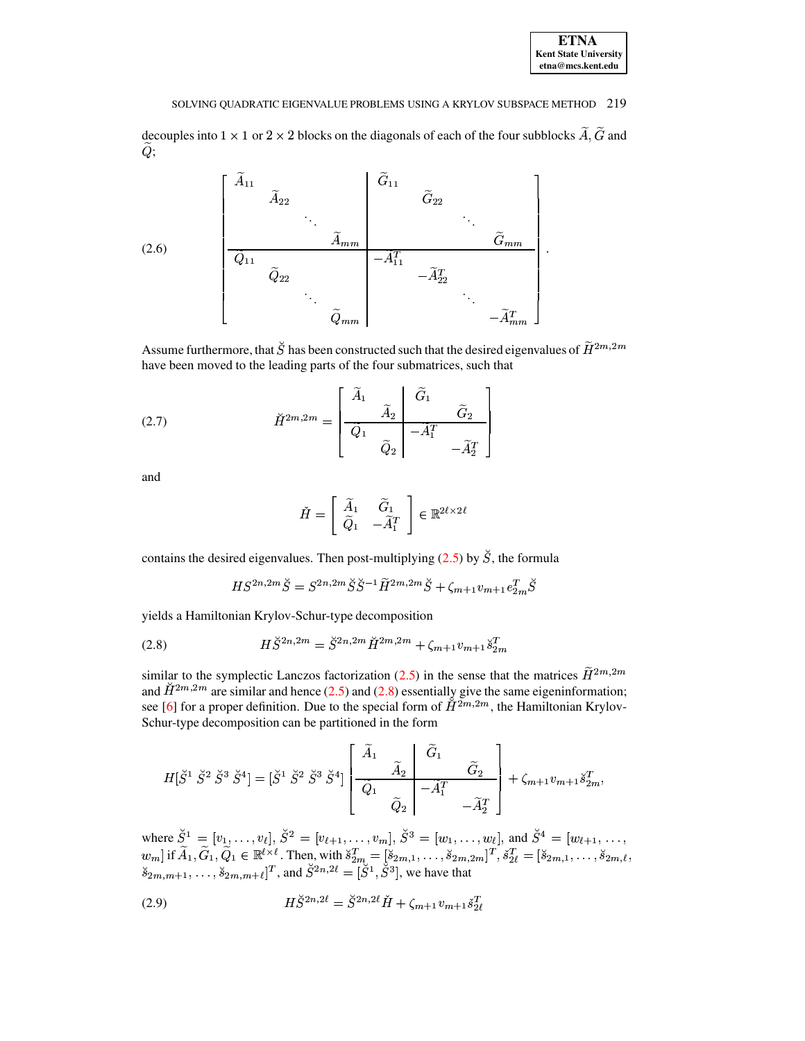| <b>ETNA</b>                  |
|------------------------------|
| <b>Kent State University</b> |
| etna@mcs.kent.edu            |

<span id="page-7-1"></span>decouples into  $1 \times 1$  or  $2 \times 2$  blocks on the diagonals of each of the four subblocks  $\widetilde{A}, \widetilde{G}$  and  $Q;$ 

(2.6)
$$
\begin{bmatrix}\n\widetilde{A}_{11} & & & \widetilde{G}_{11} & & & \\
 & \widetilde{A}_{22} & & & \vdots & & \vdots \\
 & & \ddots & & & \vdots & & \vdots \\
\hline\n\widetilde{Q}_{11} & & & & \widetilde{Q}_{1m} & & \widetilde{G}_{mm} \\
 & & & \ddots & & & \ddots & \\
 & & & & \widetilde{Q}_{mm} & & & \ddots \\
 & & & & & & \ddots & \\
 & & & & & & & \ddots & \\
 & & & & & & & & -\widetilde{A}_{mm}^T\n\end{bmatrix}.
$$

Assume furthermore, that  $\check{S}$  has been constructed such that the desired eigenvalues of  $\widetilde{H}^{2m,2m}$ have been moved to the leading parts of the four submatrices, such that

(2.7) 
$$
\check{H}^{2m,2m} = \begin{bmatrix} \tilde{A}_1 & \tilde{G}_1 & \tilde{G}_2 \\ \tilde{Q}_1 & \tilde{Q}_2 & -\tilde{A}_1^T & \tilde{A}_2^T \end{bmatrix}
$$

and

<span id="page-7-2"></span>
$$
\check{H} = \left[ \begin{array}{cc} \widetilde{A}_1 & \widetilde{G}_1 \\ \widetilde{Q}_1 & -\widetilde{A}_1^T \end{array} \right] \in \mathbb{R}^{2\ell \times 2\ell}
$$

contains the desired eigenvalues. Then post-multiplying  $(2.5)$  by  $\check{S}$ , the formula

<span id="page-7-0"></span>
$$
HS^{2n,2m}\breve{S} = S^{2n,2m}\breve{S}\breve{S}^{-1}\widetilde{H}^{2m,2m}\breve{S} + \zeta_{m+1}v_{m+1}e_{2m}^{T}\breve{S}
$$

yields a Hamiltonian Krylov-Schur-type decomposition

(2.8) 
$$
H\check{S}^{2n,2m} = \check{S}^{2n,2m}\check{H}^{2m,2m} + \zeta_{m+1}v_{m+1}\check{s}_{2m}^{T}
$$

similar to the symplectic Lanczos factorization (2.5) in the sense that the matrices  $\widetilde{H}^{2m,2m}$ and  $\check{H}^{2m,2m}$  are similar and hence (2.5) and (2.8) essentially give the same eigeninformation; see [6] for a proper definition. Due to the special form of  $\check{H}^{2m,2m}$ , the Hamiltonian Krylov-Schur-type decomposition can be partitioned in the form

$$
H[\check{S}^1 \ \check{S}^2 \ \check{S}^3 \ \check{S}^4] = [\check{S}^1 \ \check{S}^2 \ \check{S}^3 \ \check{S}^4] \left[ \begin{array}{c|c} \widetilde{A}_1 & \widetilde{G}_1 \\ \hline \widetilde{Q}_1 & \widetilde{A}_2 \\ \hline \widetilde{Q}_2 & -\widetilde{A}_1^T \end{array} \right] + \zeta_{m+1} v_{m+1} \check{s}_{2m}^T
$$

where  $\check{S}^1 = [v_1, \ldots, v_\ell], \: \check{S}^2 = [v_{\ell+1}, \ldots, v_m], \: \check{S}^3 = [w_1, \ldots, w_\ell],$  and  $\check{S}^4 = [w_{\ell+1}, \ldots, w_m]$  if  $\widetilde{A}_1, \widetilde{G}_1, \widetilde{Q}_1 \in \mathbb{R}^{\ell \times \ell}$ . Then, with  $\check{s}_{2m}^T = [\check{s}_{2m,1}, \ldots, \check{s}_{2m,2m}]^T, \: \check{s}_{2\ell}^T = [\check{s$ 

(2.9) 
$$
H\check{S}^{2n,2\ell} = \check{S}^{2n,2\ell}\check{H} + \zeta_{m+1}v_{m+1}\check{s}_{2\ell}^T
$$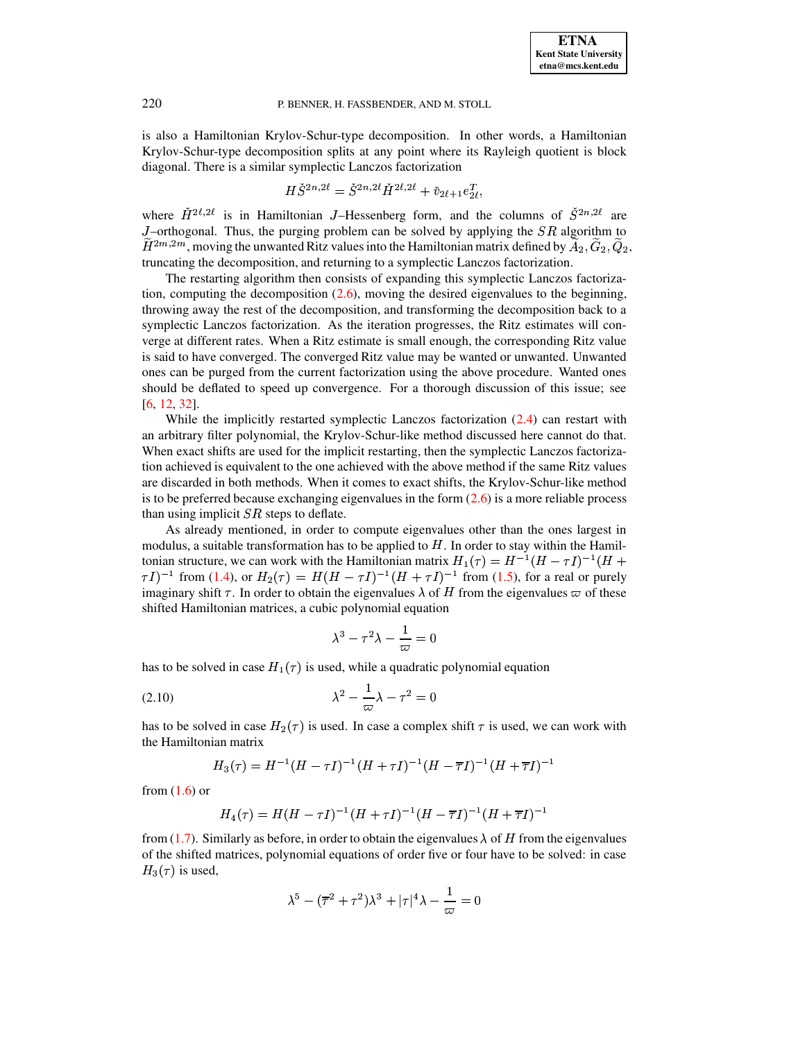

is also a Hamiltonian Krylov-Schur-type decomposition. In other words, a Hamiltonian Krylov-Schur-type decomposition splits at any point where its Rayleigh quotient is block diagonal. There is a similar symplectic Lanczos factorization

$$
H\check{S}^{2n,2\ell} = \check{S}^{2n,2\ell} \check{H}^{2\ell,2\ell} + \check{v}_{2\ell+1} e_{2\ell}^T,
$$

where  $H^{2\ell,2\ell}$  is in Hamiltonian J-Hessenberg form, and the columns of  $S^{2n,2\ell}$  are J–orthogonal. Thus, the purging problem can be solved by applying the  $SR$  algorithm to  $H^{2m,2m}$ , moving the unwanted Ritz values into the Hamiltonian matrix defined by  $A_2, G_2, Q_2$ , truncating the decomposition, and returning to a symplectic Lanczos factorization.

The restarting algorithm then consists of expanding this symplectic Lanczos factorization, computing the decomposition  $(2.6)$ , moving the desired eigenvalues to the beginning, throwing away the rest of the decomposition, and transforming the decomposition back to a symplectic Lanczos factorization. As the iteration progresses, the Ritz estimates will converge at different rates. When a Ritz estimate is small enough, the corresponding Ritz value is said to have converged. The converged Ritz value may be wanted or unwanted. Unwanted ones can be purged from the current factorization using the above procedure. Wanted ones should be deflated to speed up convergence. For a thorough discussion of this issue; see [\[6,](#page-16-6) [12,](#page-16-9) [32\]](#page-17-19).

While the implicitly restarted symplectic Lanczos factorization  $(2.4)$  can restart with an arbitrary filter polynomial, the Krylov-Schur-like method discussed here cannot do that. When exact shifts are used for the implicit restarting, then the symplectic Lanczos factorization achieved is equivalent to the one achieved with the above method if the same Ritz values are discarded in both methods. When it comes to exact shifts, the Krylov-Schur-like method is to be preferred because exchanging eigenvalues in the form  $(2.6)$  is a more reliable process than using implicit  $SR$  steps to deflate.

As already mentioned, in order to compute eigenvalues other than the ones largest in modulus, a suitable transformation has to be applied to  $H$ . In order to stay within the Hamiltonian structure, we can work with the Hamiltonian matrix  $H_1(\tau) = H^{-1}(H - \tau I)^{-1}(H +$  $(\tau I)^{-1}$  from [\(1.4\)](#page-2-1), or  $H_2(\tau) = H(H - \tau I)^{-1}(H + \tau I)^{-1}$  from [\(1.5\)](#page-2-2), for a real or purely imaginary shift  $\tau$ . In order to obtain the eigenvalues  $\lambda$  of H from the eigenvalues  $\varpi$  of these shifted Hamiltonian matrices, a cubic polynomial equation

<span id="page-8-0"></span>
$$
\lambda^3-\tau^2\lambda-\frac{1}{\varpi}=0
$$

has to be solved in case  $H_1(\tau)$  is used, while a quadratic polynomial equation

$$
\lambda^2 - \frac{1}{\varpi} \lambda - \tau^2 = 0
$$

has to be solved in case  $H_2(\tau)$  is used. In case a complex shift  $\tau$  is used, we can work with the Hamiltonian matrix

$$
H_3(\tau)=H^{-1}(H-\tau I)^{-1}(H+\tau I)^{-1}(H-\overline{\tau}I)^{-1}(H+\overline{\tau}I)^{-1}
$$

from  $(1.6)$  or

$$
H_4(\tau)=H(H-\tau I)^{-1}(H+\tau I)^{-1}(H-\overline{\tau}I)^{-1}(H+\overline{\tau}I)^{-1}
$$

from [\(1.7\)](#page-2-4). Similarly as before, in order to obtain the eigenvalues  $\lambda$  of H from the eigenvalues of the shifted matrices, polynomial equations of order five or four have to be solved: in case  $H_3(\tau)$  is used,

$$
\lambda^5-(\overline{\tau}^2+\tau^2)\lambda^3+|\tau|^4\lambda-\frac{1}{\varpi}=0
$$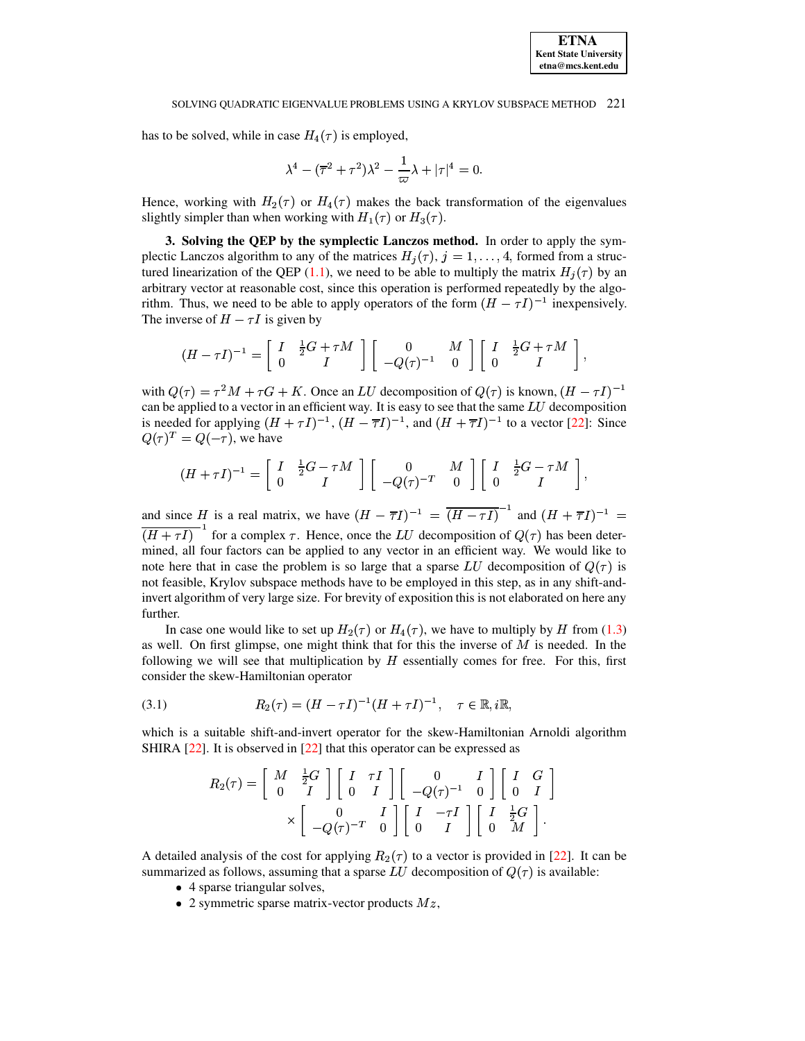### SOLVING OUADRATIC EIGENVALUE PROBLEMS USING A KRYLOV SUBSPACE METHOD 221

has to be solved, while in case  $H_4(\tau)$  is employed,

$$
\lambda^4-(\overline{\tau}^2+\tau^2)\lambda^2-\frac{1}{\varpi}\lambda+|\tau|^4=0.
$$

Hence, working with  $H_2(\tau)$  or  $H_4(\tau)$  makes the back transformation of the eigenvalues slightly simpler than when working with  $H_1(\tau)$  or  $H_3(\tau)$ .

<span id="page-9-0"></span>3. Solving the QEP by the symplectic Lanczos method. In order to apply the symplectic Lanczos algorithm to any of the matrices  $H_j(\tau)$ ,  $j = 1, ..., 4$ , formed from a structured linearization of the QEP (1.1), we need to be able to multiply the matrix  $H_i(\tau)$  by an arbitrary vector at reasonable cost, since this operation is performed repeatedly by the algorithm. Thus, we need to be able to apply operators of the form  $(H - \tau I)^{-1}$  inexpensively. The inverse of  $H - \tau I$  is given by

$$
(H-\tau I)^{-1}=\left[\begin{array}{cc}I & \frac{1}{2}G+\tau M\\ 0 & I\end{array}\right]\left[\begin{array}{cc}0 & M\\ -Q(\tau)^{-1} & 0\end{array}\right]\left[\begin{array}{cc}I & \frac{1}{2}G+\tau M\\ 0 & I\end{array}\right],
$$

with  $Q(\tau) = \tau^2 M + \tau G + K$ . Once an LU decomposition of  $Q(\tau)$  is known,  $(H - \tau I)^{-1}$ can be applied to a vector in an efficient way. It is easy to see that the same  $LU$  decomposition is needed for applying  $(H + \tau I)^{-1}$ ,  $(H - \overline{\tau}I)^{-1}$ , and  $(H + \overline{\tau}I)^{-1}$  to a vector [22]: Since  $Q(\tau)^T = Q(-\tau)$ , we have

$$
(H + \tau I)^{-1} = \begin{bmatrix} I & \frac{1}{2}G - \tau M \\ 0 & I \end{bmatrix} \begin{bmatrix} 0 & M \\ -Q(\tau)^{-T} & 0 \end{bmatrix} \begin{bmatrix} I & \frac{1}{2}G - \tau M \\ 0 & I \end{bmatrix}
$$

and since H is a real matrix, we have  $(H - \overline{\tau}I)^{-1} = \overline{(H - \tau I)}^{-1}$  and  $(H + \overline{\tau}I)^{-1} =$  $\overline{(H+\tau I)}^{-1}$  for a complex  $\tau$ . Hence, once the LU decomposition of  $Q(\tau)$  has been determined, all four factors can be applied to any vector in an efficient way. We would like to note here that in case the problem is so large that a sparse LU decomposition of  $Q(\tau)$  is not feasible, Krylov subspace methods have to be employed in this step, as in any shift-andinvert algorithm of very large size. For brevity of exposition this is not elaborated on here any further.

In case one would like to set up  $H_2(\tau)$  or  $H_4(\tau)$ , we have to multiply by H from (1.3) as well. On first glimpse, one might think that for this the inverse of  $M$  is needed. In the following we will see that multiplication by  $H$  essentially comes for free. For this, first consider the skew-Hamiltonian operator

(3.1) 
$$
R_2(\tau) = (H - \tau I)^{-1} (H + \tau I)^{-1}, \quad \tau \in \mathbb{R}, i\mathbb{R}, j\mathbb{R}, j\mathbb{R}, j\mathbb{R}, j\mathbb{R}, j\mathbb{R}, j\mathbb{R}, j\mathbb{R}, j\mathbb{R}, j\mathbb{R}, j\mathbb{R}, j\mathbb{R}, j\mathbb{R}, j\mathbb{R}, j\mathbb{R}, j\mathbb{R}, j\mathbb{R}, j\mathbb{R}, j\mathbb{R}, j\mathbb{R}, j\mathbb{R}, j\mathbb{R}, j\mathbb{R}, j\mathbb{R}, j\mathbb{R}, j\mathbb{R}, j\mathbb{R}, j\mathbb{R}, j\mathbb{R}, j\mathbb{R}, j\mathbb{R}, j\mathbb{R}, j\mathbb{R}, j\mathbb{R}, j\mathbb{R}, j\mathbb{R}, j\mathbb{R}, j\mathbb{R}, j\mathbb{R}, j\mathbb{R}, j\mathbb{R}, j\mathbb{R}, j\mathbb{R}, j\mathbb{R}, j\mathbb{R}, j\mathbb{R}, j\mathbb{R}, j\mathbb{R}, j\mathbb{R}, j\mathbb{R}, j\mathbb{R}, j\mathbb{R}, j\mathbb{R}, j\mathbb{R}, j\mathbb{R}, j\mathbb{R}, j\mathbb{R}, j\mathbb{R}, j\mathbb{R}, j\mathbb{R}, j\mathbb{R}, j\mathbb{R}, j\mathbb{R}, j\mathbb{R}, j\mathbb{R}, j\mathbb{R}, j\mathbb{R}, j\mathbb{R}, j\mathbb{R}, j\mathbb{R}, j\mathbb{R}, j\mathbb{R}, j\mathbb{R}, j\mathbb{R}, j\mathbb{R}, j\mathbb{R}, j\mathbb{R}, j\mathbb{R}, j\mathbb{R}, j\mathbb{R}, j\mathbb{R}, j\mathbb{R}, j\mathbb{R}, j\mathbb{R}, j\mathbb{R}, j\mathbb{R}, j\mathbb{R}, j\mathbb{R}, j\mathbb{R}, j\mathbb{R}, j\mathbb{R}, j\mathbb{R}, j\mathbb{R}, j\mathbb{R}, j\mathbb{R}, j\mathbb{R}, j\mathbb{R}, j\mathbb{R}, j\mathbb{R}, j\mathbb{R}, j\mathbb{R}, j\mathbb{R}, j
$$

which is a suitable shift-and-invert operator for the skew-Hamiltonian Arnoldi algorithm SHIRA  $[22]$ . It is observed in  $[22]$  that this operator can be expressed as

<span id="page-9-1"></span>
$$
R_2(\tau) = \begin{bmatrix} M & \frac{1}{2}G \\ 0 & I \end{bmatrix} \begin{bmatrix} I & \tau I \\ 0 & I \end{bmatrix} \begin{bmatrix} 0 & I \\ -Q(\tau)^{-1} & 0 \end{bmatrix} \begin{bmatrix} I & G \\ 0 & I \end{bmatrix}
$$

$$
\times \begin{bmatrix} 0 & I \\ -Q(\tau)^{-T} & 0 \end{bmatrix} \begin{bmatrix} I & -\tau I \\ 0 & I \end{bmatrix} \begin{bmatrix} I & \frac{1}{2}G \\ 0 & M \end{bmatrix}.
$$

A detailed analysis of the cost for applying  $R_2(\tau)$  to a vector is provided in [22]. It can be summarized as follows, assuming that a sparse LU decomposition of  $Q(\tau)$  is available:

- 4 sparse triangular solves,
- 2 symmetric sparse matrix-vector products  $Mz$ ,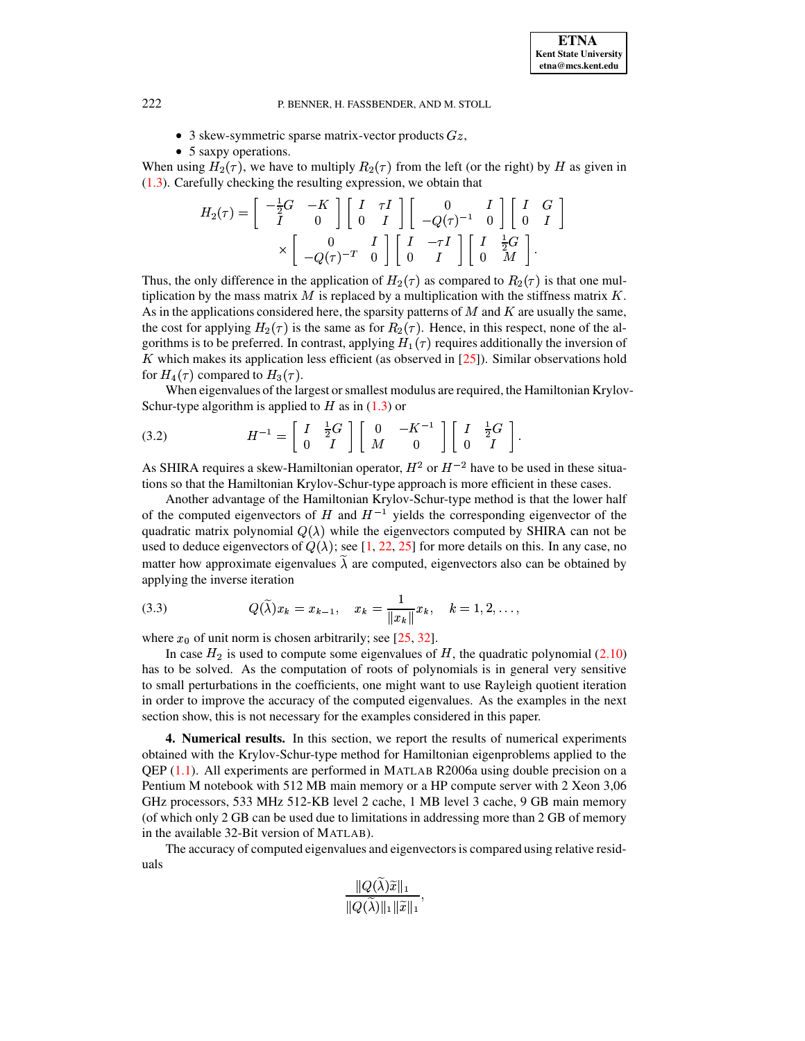- 3 skew-symmetric sparse matrix-vector products  $Gz$ ,
- 5 saxpy operations.

When using  $H_2(\tau)$ , we have to multiply  $R_2(\tau)$  from the left (or the right) by H as given in [\(1.3\)](#page-1-1). Carefully checking the resulting expression, we obtain that

$$
H_2(\tau) = \begin{bmatrix} -\frac{1}{2}G & -K \\ I & 0 \end{bmatrix} \begin{bmatrix} I & \tau I \\ 0 & I \end{bmatrix} \begin{bmatrix} 0 & I \\ -Q(\tau)^{-1} & 0 \end{bmatrix} \begin{bmatrix} I & G \\ 0 & I \end{bmatrix}
$$

$$
\times \begin{bmatrix} 0 & I \\ -Q(\tau)^{-T} & 0 \end{bmatrix} \begin{bmatrix} I & -\tau I \\ 0 & I \end{bmatrix} \begin{bmatrix} I & \frac{1}{2}G \\ 0 & M \end{bmatrix}.
$$

Thus, the only difference in the application of  $H_2(\tau)$  as compared to  $R_2(\tau)$  is that one multiplication by the mass matrix M is replaced by a multiplication with the stiffness matrix  $K$ . As in the applications considered here, the sparsity patterns of  $M$  and  $K$  are usually the same, the cost for applying  $H_2(\tau)$  is the same as for  $R_2(\tau)$ . Hence, in this respect, none of the algorithms is to be preferred. In contrast, applying  $H_1(\tau)$  requires additionally the inversion of  $K$  which makes its application less efficient (as observed in  $[25]$ ). Similar observations hold for  $H_4(\tau)$  compared to  $H_3(\tau)$ .

<span id="page-10-1"></span>When eigenvalues of the largest or smallest modulus are required, the Hamiltonian Krylov-Schur-type algorithm is applied to  $H$  as in  $(1.3)$  or

$$
(3.2) \t\t\t H^{-1} = \begin{bmatrix} I & \frac{1}{2}G \\ 0 & I \end{bmatrix} \begin{bmatrix} 0 & -K^{-1} \\ M & 0 \end{bmatrix} \begin{bmatrix} I & \frac{1}{2}G \\ 0 & I \end{bmatrix}.
$$

As SHIRA requires a skew-Hamiltonian operator,  $H^2$  or  $H^{-2}$  have to be used in these situations so that the Hamiltonian Krylov-Schur-type approach is more efficient in these cases.

Another advantage of the Hamiltonian Krylov-Schur-type method is that the lower half of the computed eigenvectors of H and  $H^{-1}$  yields the corresponding eigenvector of the quadratic matrix polynomial  $Q(\lambda)$  while the eigenvectors computed by SHIRA can not be used to deduce eigenvectors of  $Q(\lambda)$ ; see [\[1,](#page-16-0) [22,](#page-17-0) [25\]](#page-17-2) for more details on this. In any case, no matter how approximate eigenvalues  $\lambda$  are computed, eigenvectors also can be obtained by applying the inverse iteration

<span id="page-10-2"></span>(3.3) 
$$
Q(\widetilde{\lambda})x_k = x_{k-1}, \quad x_k = \frac{1}{\|x_k\|}x_k, \quad k = 1, 2, \ldots,
$$

where  $x_0$  of unit norm is chosen arbitrarily; see [\[25,](#page-17-2) [32\]](#page-17-19).

In case  $H_2$  is used to compute some eigenvalues of H, the quadratic polynomial [\(2.10\)](#page-8-0) has to be solved. As the computation of roots of polynomials is in general very sensitive to small perturbations in the coefficients, one might want to use Rayleigh quotient iteration in order to improve the accuracy of the computed eigenvalues. As the examples in the next section show, this is not necessary for the examples considered in this paper.

<span id="page-10-0"></span>**4. Numerical results.** In this section, we report the results of numerical experiments obtained with the Krylov-Schur-type method for Hamiltonian eigenproblems applied to the QEP [\(1.1\)](#page-0-0). All experiments are performed in MATLAB R2006a using double precision on a Pentium M notebook with 512 MB main memory or a HP compute server with 2 Xeon 3,06 GHz processors, 533 MHz 512-KB level 2 cache, 1 MB level 3 cache, 9 GB main memory (of which only 2 GB can be used due to limitations in addressing more than 2 GB of memory in the available 32-Bit version of MATLAB).

The accuracy of computed eigenvalues and eigenvectorsis compared using relative residuals

$$
\frac{\|Q(\widetilde{\lambda})\widetilde{x}\|_1}{\|Q(\widetilde{\lambda})\|_1\|\widetilde{x}\|_1},
$$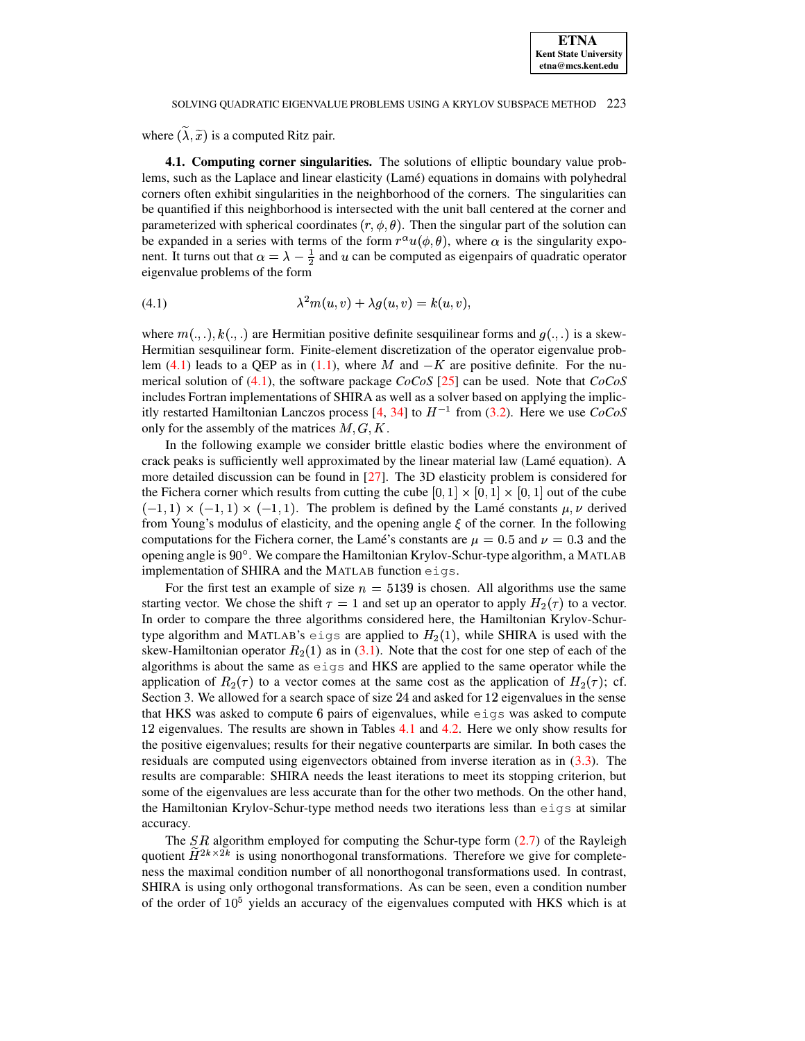where  $(\lambda, \tilde{x})$  is a computed Ritz pair.

4.1. Computing corner singularities. The solutions of elliptic boundary value problems, such as the Laplace and linear elasticity (Lamé) equations in domains with polyhedral corners often exhibit singularities in the neighborhood of the corners. The singularities can be quantified if this neighborhood is intersected with the unit ball centered at the corner and parameterized with spherical coordinates  $(r, \phi, \theta)$ . Then the singular part of the solution can be expanded in a series with terms of the form  $r^{\alpha}u(\phi,\theta)$ , where  $\alpha$  is the singularity exponent. It turns out that  $\alpha = \lambda - \frac{1}{2}$  and u can be computed as eigenpairs of quadratic operator eigenvalue problems of the form

<span id="page-11-0"></span>
$$
\lambda^2 m(u, v) + \lambda g(u, v) = k(u, v),
$$

where  $m(\ldots), k(\ldots)$  are Hermitian positive definite sesquilinear forms and  $q(\ldots)$  is a skew-Hermitian sesquilinear form. Finite-element discretization of the operator eigenvalue problem (4.1) leads to a QEP as in (1.1), where M and  $-K$  are positive definite. For the numerical solution of (4.1), the software package  $CoCoS$  [25] can be used. Note that  $CoCoS$ includes Fortran implementations of SHIRA as well as a solver based on applying the implicitly restarted Hamiltonian Lanczos process [4, 34] to  $H^{-1}$  from (3.2). Here we use  $CoCoS$ only for the assembly of the matrices  $M, G, K$ .

In the following example we consider brittle elastic bodies where the environment of crack peaks is sufficiently well approximated by the linear material law (Lamé equation). A more detailed discussion can be found in  $[27]$ . The 3D elasticity problem is considered for the Fichera corner which results from cutting the cube  $[0, 1] \times [0, 1] \times [0, 1]$  out of the cube  $(-1,1) \times (-1,1) \times (-1,1)$ . The problem is defined by the Lamé constants  $\mu, \nu$  derived from Young's modulus of elasticity, and the opening angle  $\xi$  of the corner. In the following computations for the Fichera corner, the Lamé's constants are  $\mu = 0.5$  and  $\nu = 0.3$  and the opening angle is 90°. We compare the Hamiltonian Krylov-Schur-type algorithm, a MATLAB implementation of SHIRA and the MATLAB function eigs.

For the first test an example of size  $n = 5139$  is chosen. All algorithms use the same starting vector. We chose the shift  $\tau = 1$  and set up an operator to apply  $H_2(\tau)$  to a vector. In order to compare the three algorithms considered here, the Hamiltonian Krylov-Schurtype algorithm and MATLAB's eigs are applied to  $H_2(1)$ , while SHIRA is used with the skew-Hamiltonian operator  $R_2(1)$  as in (3.1). Note that the cost for one step of each of the algorithms is about the same as eigs and HKS are applied to the same operator while the application of  $R_2(\tau)$  to a vector comes at the same cost as the application of  $H_2(\tau)$ ; cf. Section 3. We allowed for a search space of size 24 and asked for 12 eigenvalues in the sense that HKS was asked to compute 6 pairs of eigenvalues, while  $\epsilon$  is was asked to compute 12 eigenvalues. The results are shown in Tables 4.1 and 4.2. Here we only show results for the positive eigenvalues; results for their negative counterparts are similar. In both cases the residuals are computed using eigenvectors obtained from inverse iteration as in  $(3.3)$ . The results are comparable: SHIRA needs the least iterations to meet its stopping criterion, but some of the eigenvalues are less accurate than for the other two methods. On the other hand, the Hamiltonian Krylov-Schur-type method needs two iterations less than eigs at similar accuracy.

The SR algorithm employed for computing the Schur-type form  $(2.7)$  of the Rayleigh quotient  $\widetilde{H}^{2k\times 2k}$  is using nonorthogonal transformations. Therefore we give for completeness the maximal condition number of all nonorthogonal transformations used. In contrast, SHIRA is using only orthogonal transformations. As can be seen, even a condition number of the order of  $10^5$  yields an accuracy of the eigenvalues computed with HKS which is at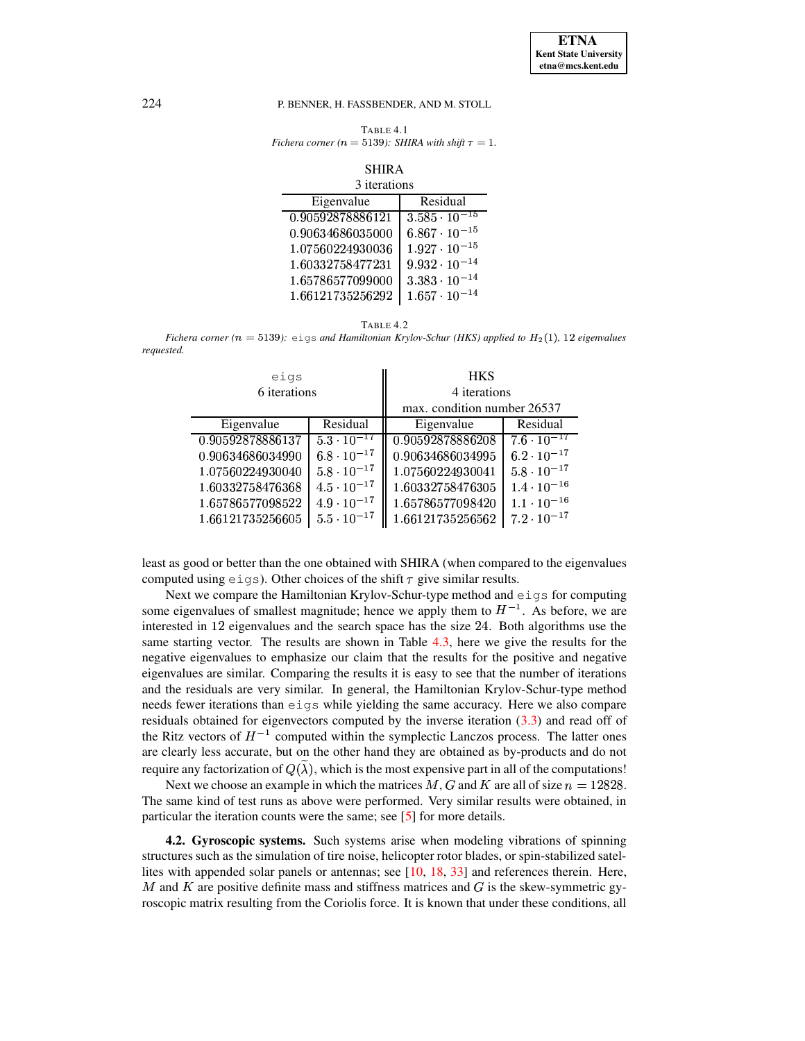<span id="page-12-0"></span>TABLE 4.1 *Fichera corner* ( $n = 5139$ ): *SHIRA with shift*  $\tau = 1$ .

# SHIRA

| 3 iterations     |                                   |  |
|------------------|-----------------------------------|--|
| Eigenvalue       | Residual                          |  |
| 0.90592878886121 | $3.\overline{585 \cdot 10^{-15}}$ |  |
| 0.90634686035000 | $6.867 \cdot 10^{-15}$            |  |
| 1.07560224930036 | $1.927 \cdot 10^{-15}$            |  |
| 1.60332758477231 | $9.932 \cdot 10^{-14}$            |  |
| 1.65786577099000 | $3.383 \cdot 10^{-14}$            |  |
| 1.66121735256292 | $1.657 \cdot 10^{-14}$            |  |

<span id="page-12-1"></span>TABLE 4.2 *Fichera corner* ( $n = 5139$ ): eigs *and Hamiltonian Krylov-Schur (HKS) applied to*  $H_2(1)$ , 12 *eigenvalues requested.*

| eigs<br>6 iterations |                      | <b>HKS</b><br>4 iterations<br>max. condition number 26537 |                      |
|----------------------|----------------------|-----------------------------------------------------------|----------------------|
| Eigenvalue           | Residual             | Eigenvalue                                                | Residual             |
| 0.90592878886137     | $5.3 \cdot 10^{-17}$ | 0.90592878886208                                          | $7.6 \cdot 10^{-17}$ |
| 0.90634686034990     | $6.8 \cdot 10^{-17}$ | 0.90634686034995                                          | $6.2 \cdot 10^{-17}$ |
| 1.07560224930040     | $5.8 \cdot 10^{-17}$ | 1.07560224930041                                          | $5.8 \cdot 10^{-17}$ |
| 1.60332758476368     | $4.5 \cdot 10^{-17}$ | 1.60332758476305                                          | $1.4 \cdot 10^{-16}$ |
| 1.65786577098522     | $4.9 \cdot 10^{-17}$ | 1.65786577098420                                          | $1.1 \cdot 10^{-16}$ |
| 1.66121735256605     | $5.5 \cdot 10^{-17}$ | 1.66121735256562                                          | $7.2 \cdot 10^{-17}$ |

least as good or better than the one obtained with SHIRA (when compared to the eigenvalues computed using  $eigs$ ). Other choices of the shift  $\tau$  give similar results.

Next we compare the Hamiltonian Krylov-Schur-type method and eigs for computing some eigenvalues of smallest magnitude; hence we apply them to  $H^{-1}$ . As before, we are interested in  $12$  eigenvalues and the search space has the size  $24$ . Both algorithms use the same starting vector. The results are shown in Table [4.3,](#page-13-0) here we give the results for the negative eigenvalues to emphasize our claim that the results for the positive and negative eigenvalues are similar. Comparing the results it is easy to see that the number of iterations and the residuals are very similar. In general, the Hamiltonian Krylov-Schur-type method needs fewer iterations than eigs while yielding the same accuracy. Here we also compare residuals obtained for eigenvectors computed by the inverse iteration [\(3.3\)](#page-10-2) and read off of the Ritz vectors of  $H^{-1}$  computed within the symplectic Lanczos process. The latter ones are clearly less accurate, but on the other hand they are obtained as by-products and do not require any factorization of  $Q(\lambda)$ , which is the most expensive part in all of the computations!

Next we choose an example in which the matrices M, G and K are all of size  $n = 12828$ . The same kind of test runs as above were performed. Very similar results were obtained, in particular the iteration counts were the same; see [\[5\]](#page-16-10) for more details.

**4.2. Gyroscopic systems.** Such systems arise when modeling vibrations of spinning structures such as the simulation of tire noise, helicopter rotor blades, or spin-stabilized satellites with appended solar panels or antennas; see [\[10,](#page-16-1) [18,](#page-17-3) [33\]](#page-17-1) and references therein. Here, M and K are positive definite mass and stiffness matrices and  $G$  is the skew-symmetric gyroscopic matrix resulting from the Coriolis force. It is known that under these conditions, all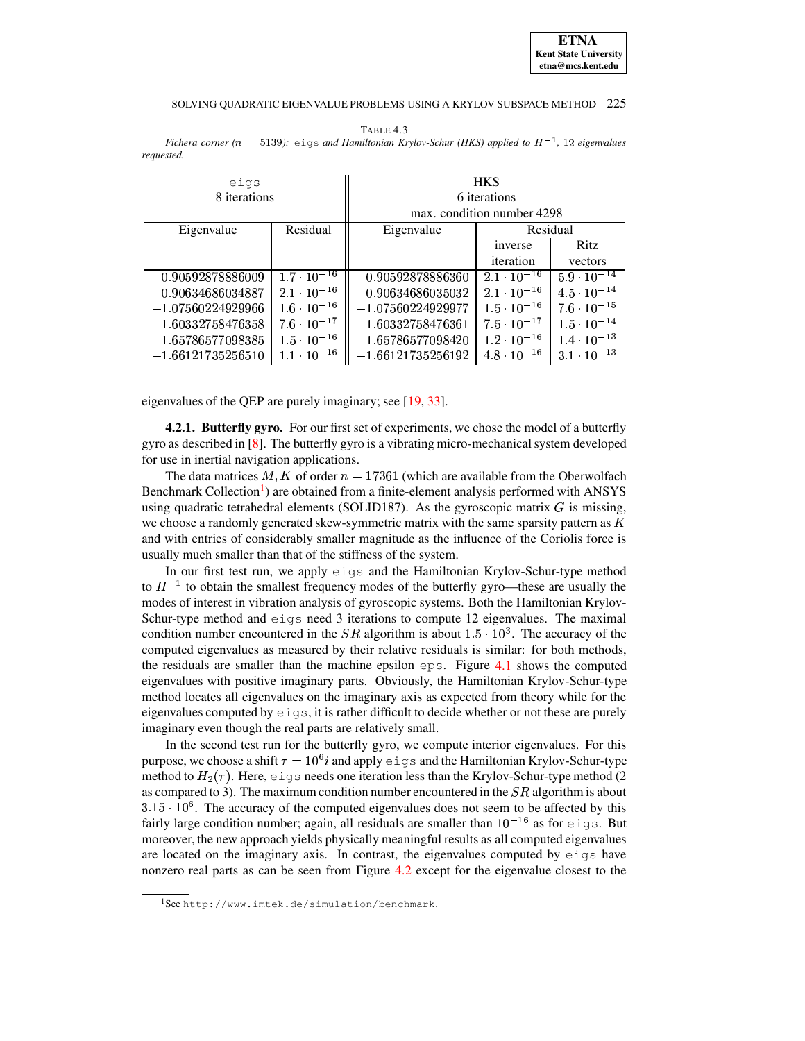#### SOLVING OUADRATIC EIGENVALUE PROBLEMS USING A KRYLOV SUBSPACE METHOD 225

<span id="page-13-0"></span>TABLE 4.3 Fichera corner ( $n = 5139$ ):  $e \text{ig}$  and Hamiltonian Krylov-Schur (HKS) applied to  $H^{-1}$ , 12 eigenvalues requested.

| eigs<br>8 iterations |                      | <b>HKS</b><br>6 iterations<br>max. condition number 4298 |                      |                      |
|----------------------|----------------------|----------------------------------------------------------|----------------------|----------------------|
| Eigenvalue           | Residual             | Residual<br>Eigenvalue                                   |                      |                      |
|                      |                      |                                                          | inverse              | Ritz                 |
|                      |                      |                                                          | iteration            | vectors              |
| $-0.90592878886009$  | $1.7 \cdot 10^{-16}$ | $-0.90592878886360$                                      | $2.1 \cdot 10^{-16}$ | $5.9 \cdot 10^{-14}$ |
| $-0.90634686034887$  | $2.1 \cdot 10^{-16}$ | $-0.90634686035032$                                      | $2.1 \cdot 10^{-16}$ | $4.5 \cdot 10^{-14}$ |
| $-1.07560224929966$  | $1.6 \cdot 10^{-16}$ | $-1.07560224929977$                                      | $1.5 \cdot 10^{-16}$ | $7.6 \cdot 10^{-15}$ |
| $-1.60332758476358$  | $7.6 \cdot 10^{-17}$ | $-1.60332758476361$                                      | $7.5 \cdot 10^{-17}$ | $1.5 \cdot 10^{-14}$ |
| $-1.65786577098385$  | $1.5 \cdot 10^{-16}$ | $-1.65786577098420$                                      | $1.2 \cdot 10^{-16}$ | $1.4 \cdot 10^{-13}$ |
| $-1.66121735256510$  | $1.1 \cdot 10^{-16}$ | $-1.66121735256192$                                      | $4.8 \cdot 10^{-16}$ | $3.1 \cdot 10^{-13}$ |

eigenvalues of the QEP are purely imaginary; see [19, 33].

**4.2.1. Butterfly gyro.** For our first set of experiments, we chose the model of a butterfly gyro as described in  $[8]$ . The butterfly gyro is a vibrating micro-mechanical system developed for use in inertial navigation applications.

The data matrices M, K of order  $n = 17361$  (which are available from the Oberwolfach Benchmark Collection<sup>1</sup>) are obtained from a finite-element analysis performed with ANSYS using quadratic tetrahedral elements (SOLID187). As the gyroscopic matrix  $G$  is missing, we choose a randomly generated skew-symmetric matrix with the same sparsity pattern as  $K$ and with entries of considerably smaller magnitude as the influence of the Coriolis force is usually much smaller than that of the stiffness of the system.

In our first test run, we apply eigs and the Hamiltonian Krylov-Schur-type method to  $H^{-1}$  to obtain the smallest frequency modes of the butterfly gyro—these are usually the modes of interest in vibration analysis of gyroscopic systems. Both the Hamiltonian Krylov-Schur-type method and  $eigs$  need 3 iterations to compute 12 eigenvalues. The maximal condition number encountered in the SR algorithm is about  $1.5 \cdot 10^3$ . The accuracy of the computed eigenvalues as measured by their relative residuals is similar: for both methods, the residuals are smaller than the machine epsilon  $eps$ . Figure 4.1 shows the computed eigenvalues with positive imaginary parts. Obviously, the Hamiltonian Krylov-Schur-type method locates all eigenvalues on the imaginary axis as expected from theory while for the eigenvalues computed by  $eigs$ , it is rather difficult to decide whether or not these are purely imaginary even though the real parts are relatively small.

In the second test run for the butterfly gyro, we compute interior eigenvalues. For this purpose, we choose a shift  $\tau = 10^6 i$  and apply  $\epsilon \perp g s$  and the Hamiltonian Krylov-Schur-type method to  $H_2(\tau)$ . Here, eigs needs one iteration less than the Krylov-Schur-type method (2) as compared to 3). The maximum condition number encountered in the  $SR$  algorithm is about  $3.15 \cdot 10^6$ . The accuracy of the computed eigenvalues does not seem to be affected by this fairly large condition number; again, all residuals are smaller than  $10^{-16}$  as for eigs. But moreover, the new approach yields physically meaningful results as all computed eigenvalues are located on the imaginary axis. In contrast, the eigenvalues computed by eigs have nonzero real parts as can be seen from Figure 4.2 except for the eigenvalue closest to the

<span id="page-13-1"></span><sup>&</sup>lt;sup>1</sup>See http://www.imtek.de/simulation/benchmark.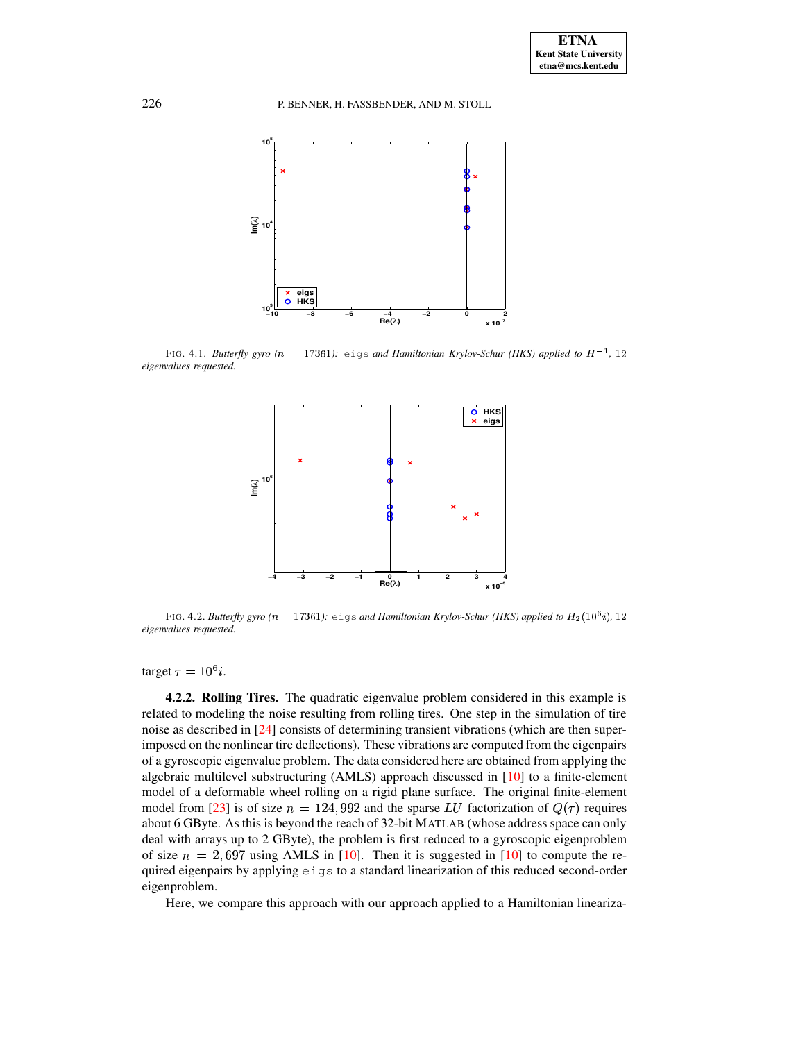

<span id="page-14-0"></span>FIG. 4.1. *Butterfly gyro (* $n = 17361$ *): <code>eigs</code> and <code><i>Hamiltonian Krylov-Schur (HKS) applied to H*<sup>-1</sup>, 12</code> *eigenvalues requested.*



<span id="page-14-1"></span>FIG. 4.2. Butterfly gyro  $(n = 17361)$ : eigs and Hamiltonian Krylov-Schur (HKS) applied to  $H_2(10^6 i)$ , 12 *eigenvalues requested.*

target  $\tau = 10^6 i$ .

**4.2.2. Rolling Tires.** The quadratic eigenvalue problem considered in this example is related to modeling the noise resulting from rolling tires. One step in the simulation of tire noise as described in [\[24\]](#page-17-22) consists of determining transient vibrations (which are then superimposed on the nonlinear tire deflections). These vibrations are computed from the eigenpairs of a gyroscopic eigenvalue problem. The data considered here are obtained from applying the algebraic multilevel substructuring  $(AMLS)$  approach discussed in [\[10\]](#page-16-1) to a finite-element model of a deformable wheel rolling on a rigid plane surface. The original finite-element model from [\[23\]](#page-17-23) is of size  $n = 124,992$  and the sparse LU factorization of  $Q(\tau)$  requires about 6 GByte. As this is beyond the reach of 32-bit MATLAB (whose address space can only deal with arrays up to 2 GByte), the problem is first reduced to a gyroscopic eigenproblem of size  $n = 2,697$  using AMLS in [\[10\]](#page-16-1). Then it is suggested in [10] to compute the required eigenpairs by applying eigs to a standard linearization of this reduced second-order eigenproblem.

Here, we compare this approach with our approach applied to a Hamiltonian lineariza-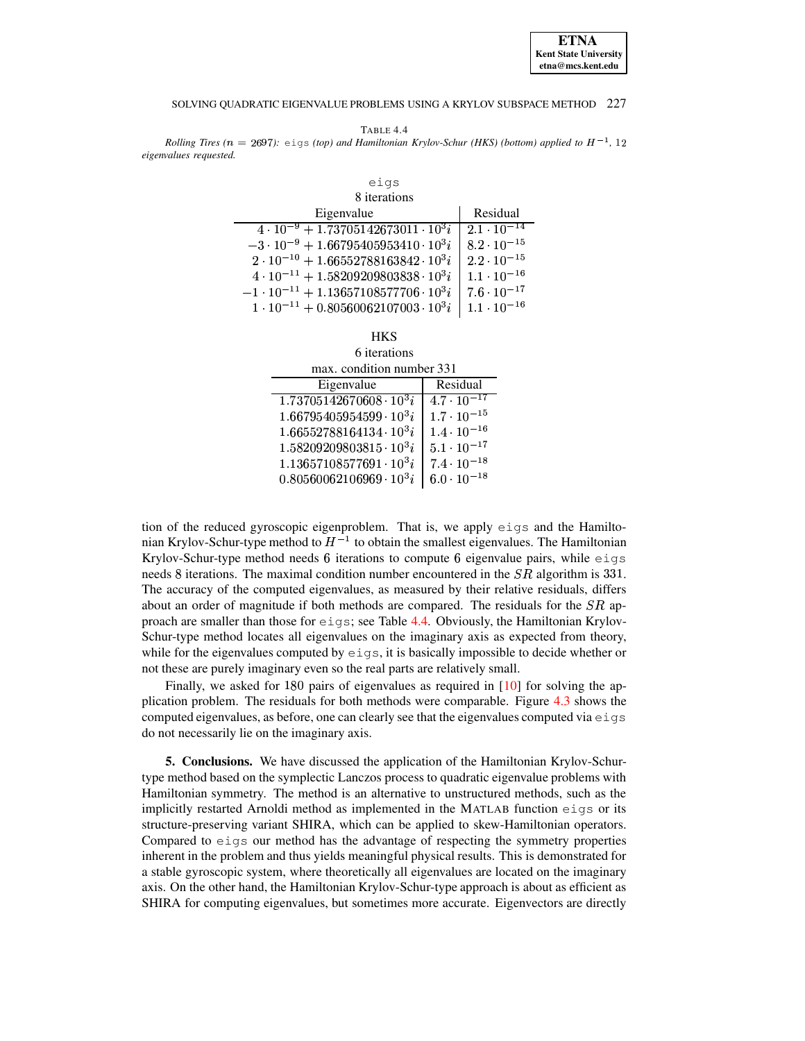#### SOLVING OUADRATIC EIGENVALUE PROBLEMS USING A KRYLOV SUBSPACE METHOD 227

<span id="page-15-0"></span>TABLE 4.4 Rolling Tires ( $n = 2697$ ):  $eig\sigma$  (top) and Hamiltonian Krylov-Schur (HKS) (bottom) applied to  $H^{-1}$ , 12 eigenvalues requested.

 $\sin 19$ 

| ---                                                  |                      |  |  |
|------------------------------------------------------|----------------------|--|--|
| 8 iterations                                         |                      |  |  |
| Eigenvalue                                           | Residual             |  |  |
| $4 \cdot 10^{-9} + 1.73705142673011 \cdot 10^{3}i$   | $2.1 \cdot 10^{-14}$ |  |  |
| $-3 \cdot 10^{-9} + 1.66795405953410 \cdot 10^{3}i$  | $8.2 \cdot 10^{-15}$ |  |  |
| $2 \cdot 10^{-10} + 1.66552788163842 \cdot 10^3 i$   | $2.2 \cdot 10^{-15}$ |  |  |
| $4 \cdot 10^{-11} + 1.58209209803838 \cdot 10^3 i$   | $1.1 \cdot 10^{-16}$ |  |  |
| $-1 \cdot 10^{-11} + 1.13657108577706 \cdot 10^{3}i$ | $7.6 \cdot 10^{-17}$ |  |  |
| $1 \cdot 10^{-11} + 0.80560062107003 \cdot 10^3 i$   | $1.1 \cdot 10^{-16}$ |  |  |

6 iterations max. condition number 331

| нал. солонол нопрот.            |                      |  |
|---------------------------------|----------------------|--|
| Eigenvalue                      | Residual             |  |
| $1.73705142670608 \cdot 10^3 i$ | $4.7 \cdot 10^{-17}$ |  |
| $1.66795405954599 \cdot 10^3 i$ | $1.7 \cdot 10^{-15}$ |  |
| $1.66552788164134\cdot 10^3 i$  | $1.4 \cdot 10^{-16}$ |  |
| $1.58209209803815\cdot 10^3 i$  | $5.1 \cdot 10^{-17}$ |  |
| $1.13657108577691\cdot 10^3i$   | $7.4 \cdot 10^{-18}$ |  |
| $0.80560062106969 \cdot 10^3 i$ | $6.0 \cdot 10^{-18}$ |  |
|                                 |                      |  |

tion of the reduced gyroscopic eigenproblem. That is, we apply eigs and the Hamiltonian Krylov-Schur-type method to  $H^{-1}$  to obtain the smallest eigenvalues. The Hamiltonian Krylov-Schur-type method needs  $6$  iterations to compute  $6$  eigenvalue pairs, while eigs needs 8 iterations. The maximal condition number encountered in the  $SR$  algorithm is 331. The accuracy of the computed eigenvalues, as measured by their relative residuals, differs about an order of magnitude if both methods are compared. The residuals for the  $SR$  approach are smaller than those for  $eigs$ ; see Table 4.4. Obviously, the Hamiltonian Krylov-Schur-type method locates all eigenvalues on the imaginary axis as expected from theory, while for the eigenvalues computed by  $\epsilon$ iqs, it is basically impossible to decide whether or not these are purely imaginary even so the real parts are relatively small.

Finally, we asked for 180 pairs of eigenvalues as required in  $[10]$  for solving the application problem. The residuals for both methods were comparable. Figure 4.3 shows the computed eigenvalues, as before, one can clearly see that the eigenvalues computed via  $eig\sigma$ do not necessarily lie on the imaginary axis.

**5. Conclusions.** We have discussed the application of the Hamiltonian Krylov-Schurtype method based on the symplectic Lanczos process to quadratic eigenvalue problems with Hamiltonian symmetry. The method is an alternative to unstructured methods, such as the implicitly restarted Arnoldi method as implemented in the MATLAB function eigs or its structure-preserving variant SHIRA, which can be applied to skew-Hamiltonian operators. Compared to eigs our method has the advantage of respecting the symmetry properties inherent in the problem and thus yields meaningful physical results. This is demonstrated for a stable gyroscopic system, where theoretically all eigenvalues are located on the imaginary axis. On the other hand, the Hamiltonian Krylov-Schur-type approach is about as efficient as SHIRA for computing eigenvalues, but sometimes more accurate. Eigenvectors are directly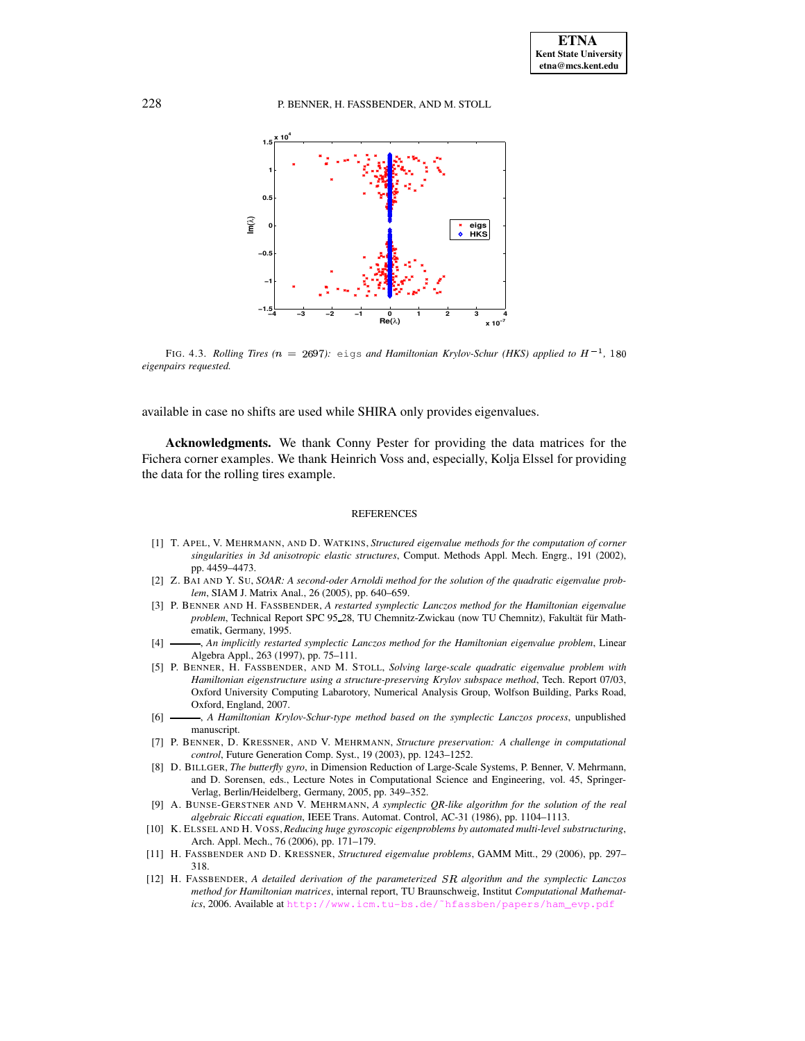

<span id="page-16-12"></span>FIG. 4.3. *Rolling Tires* ( $n = 2697$ ): <code>eigs</code> and <code>Hamiltonian Krylov-Schur (HKS)</code> applied to  $H^{-1}$ , 180 *eigenpairs requested.*

available in case no shifts are used while SHIRA only provides eigenvalues.

**Acknowledgments.** We thank Conny Pester for providing the data matrices for the Fichera corner examples. We thank Heinrich Voss and, especially, Kolja Elssel for providing the data for the rolling tires example.

## REFERENCES

- <span id="page-16-0"></span>[1] T. APEL, V. MEHRMANN, AND D. WATKINS, *Structured eigenvalue methods for the computation of corner singularities in 3d anisotropic elastic structures*, Comput. Methods Appl. Mech. Engrg., 191 (2002), pp. 4459–4473.
- <span id="page-16-2"></span>[2] Z. BAI AND Y. SU, *SOAR: A second-oder Arnoldi method for the solution of the quadratic eigenvalue problem*, SIAM J. Matrix Anal., 26 (2005), pp. 640–659.
- <span id="page-16-7"></span>[3] P. BENNER AND H. FASSBENDER, *A restarted symplectic Lanczos method for the Hamiltonian eigenvalue* problem, Technical Report SPC 95 28, TU Chemnitz-Zwickau (now TU Chemnitz), Fakultät für Mathematik, Germany, 1995.
- <span id="page-16-5"></span>[4] , *An implicitly restarted symplectic Lanczos method for the Hamiltonian eigenvalue problem*, Linear Algebra Appl., 263 (1997), pp. 75–111.
- <span id="page-16-10"></span>[5] P. BENNER, H. FASSBENDER, AND M. STOLL, *Solving large-scale quadratic eigenvalue problem with Hamiltonian eigenstructure using a structure-preserving Krylov subspace method*, Tech. Report 07/03, Oxford University Computing Labarotory, Numerical Analysis Group, Wolfson Building, Parks Road, Oxford, England, 2007.
- <span id="page-16-6"></span>[6] , *A Hamiltonian Krylov-Schur-type method based on the symplectic Lanczos process*, unpublished manuscript.
- <span id="page-16-3"></span>[7] P. BENNER, D. KRESSNER, AND V. MEHRMANN, *Structure preservation: A challenge in computational control*, Future Generation Comp. Syst., 19 (2003), pp. 1243–1252.
- <span id="page-16-11"></span>[8] D. BILLGER, *The butterfly gyro*, in Dimension Reduction of Large-Scale Systems, P. Benner, V. Mehrmann, and D. Sorensen, eds., Lecture Notes in Computational Science and Engineering, vol. 45, Springer-Verlag, Berlin/Heidelberg, Germany, 2005, pp. 349–352.
- <span id="page-16-8"></span>[9] A. BUNSE-GERSTNER AND V. MEHRMANN, *A symplectic QR-like algorithm for the solution of the real algebraic Riccati equation*, IEEE Trans. Automat. Control, AC-31 (1986), pp. 1104–1113.
- <span id="page-16-1"></span>[10] K. ELSSEL AND H. VOSS,*Reducing huge gyroscopic eigenproblems by automated multi-level substructuring*, Arch. Appl. Mech., 76 (2006), pp. 171–179.
- <span id="page-16-4"></span>[11] H. FASSBENDER AND D. KRESSNER, *Structured eigenvalue problems*, GAMM Mitt., 29 (2006), pp. 297– 318.
- <span id="page-16-9"></span>[12] H. FASSBENDER, *A detailed derivation of the parameterized algorithm and the symplectic Lanczos method for Hamiltonian matrices*, internal report, TU Braunschweig, Institut *Computational Mathematics*, 2006. Available at [http://www.icm.tu-bs.de/˜hfassben/papers/ham\\_evp.pdf](http://www.icm.tu-bs.de/~hfassben/papers/ham_evp.pdf)